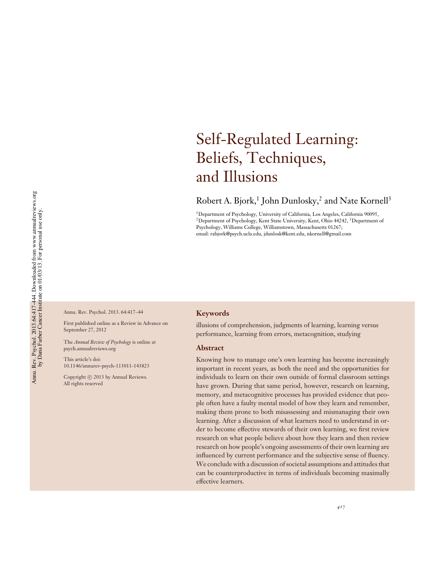# Self-Regulated Learning: Beliefs, Techniques, and Illusions

Robert A. Bjork,<sup>1</sup> John Dunlosky,<sup>2</sup> and Nate Kornell<sup>3</sup>

<sup>1</sup>Department of Psychology, University of California, Los Angeles, California 90095, <sup>2</sup>Department of Psychology, Kent State University, Kent, Ohio 44242, <sup>3</sup>Department of Psychology, Williams College, Williamstown, Massachusetts 01267; email: rabjork@psych.ucla.edu, jdunlosk@kent.edu, nkornell@gmail.com

Annu. Rev. Psychol. 2013. 64:417–44

First published online as a Review in Advance on September 27, 2012

The *Annual Review of Psychology* is online at psych.annualreviews.org

This article's doi: 10.1146/annurev-psych-113011-143823

Copyright © 2013 by Annual Reviews. All rights reserved

#### **Keywords**

illusions of comprehension, judgments of learning, learning versus performance, learning from errors, metacognition, studying

## **Abstract**

Knowing how to manage one's own learning has become increasingly important in recent years, as both the need and the opportunities for individuals to learn on their own outside of formal classroom settings have grown. During that same period, however, research on learning, memory, and metacognitive processes has provided evidence that people often have a faulty mental model of how they learn and remember, making them prone to both misassessing and mismanaging their own learning. After a discussion of what learners need to understand in order to become effective stewards of their own learning, we first review research on what people believe about how they learn and then review research on how people's ongoing assessments of their own learning are influenced by current performance and the subjective sense of fluency. We conclude with a discussion of societal assumptions and attitudes that can be counterproductive in terms of individuals becoming maximally effective learners.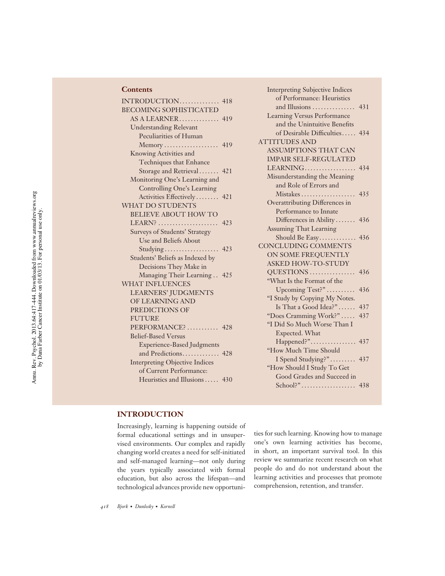# **Contents**

| INTRODUCTION                          | 418  |
|---------------------------------------|------|
| <b>BECOMING SOPHISTICATED</b>         |      |
| <b>AS A LEARNER 419</b>               |      |
| <b>Understanding Relevant</b>         |      |
| Peculiarities of Human                |      |
| Memory  419                           |      |
| Knowing Activities and                |      |
| Techniques that Enhance               |      |
| Storage and Retrieval 421             |      |
| Monitoring One's Learning and         |      |
| Controlling One's Learning            |      |
| Activities Effectively 421            |      |
| <b>WHAT DO STUDENTS</b>               |      |
| <b>BELIEVE ABOUT HOW TO</b>           |      |
| LEARN?                                | 423  |
| <b>Surveys of Students' Strategy</b>  |      |
| Use and Beliefs About                 |      |
| Studying                              | .423 |
| Students' Beliefs as Indexed by       |      |
| Decisions They Make in                |      |
| Managing Their Learning 425           |      |
| <b>WHAT INFLUENCES</b>                |      |
| <b>LEARNERS' JUDGMENTS</b>            |      |
| OF LEARNING AND                       |      |
| PREDICTIONS OF                        |      |
| <b>FUTURE</b>                         |      |
| PERFORMANCE? 428                      |      |
| <b>Belief-Based Versus</b>            |      |
| <b>Experience-Based Judgments</b>     |      |
| and Predictions 428                   |      |
| <b>Interpreting Objective Indices</b> |      |
| of Current Performance:               |      |
| Heuristics and Illusions  430         |      |

| and Illusions  431            |
|-------------------------------|
|                               |
|                               |
| of Desirable Difficulties 434 |
|                               |
|                               |
|                               |
| LEARNING 434                  |
|                               |
|                               |
| 435                           |
|                               |
|                               |
| Differences in Ability 436    |
|                               |
| Should Be Easy 436            |
|                               |
|                               |
|                               |
| QUESTIONS  436                |
|                               |
| 436                           |
|                               |
| 437                           |
| 437                           |
|                               |
|                               |
| Happened?" 437                |
|                               |
| I Spend Studying?" 437        |
|                               |
|                               |
|                               |
|                               |

# **INTRODUCTION**

Increasingly, learning is happening outside of formal educational settings and in unsupervised environments. Our complex and rapidly changing world creates a need for self-initiated and self-managed learning—not only during the years typically associated with formal education, but also across the lifespan—and technological advances provide new opportuni-

ties for such learning. Knowing how to manage one's own learning activities has become, in short, an important survival tool. In this review we summarize recent research on what people do and do not understand about the learning activities and processes that promote comprehension, retention, and transfer.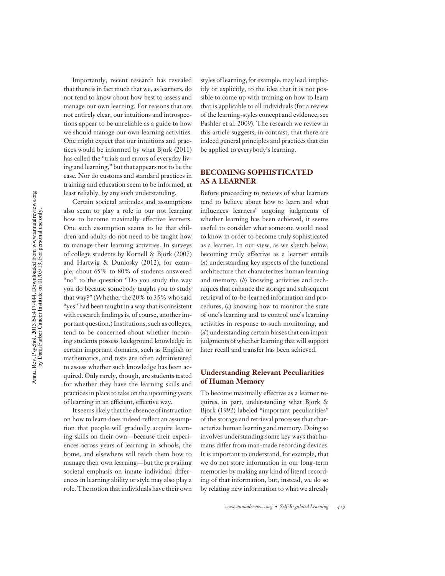Importantly, recent research has revealed that there is in fact much that we, as learners, do not tend to know about how best to assess and manage our own learning. For reasons that are not entirely clear, our intuitions and introspections appear to be unreliable as a guide to how we should manage our own learning activities. One might expect that our intuitions and practices would be informed by what Bjork (2011) has called the "trials and errors of everyday living and learning," but that appears not to be the case. Nor do customs and standard practices in training and education seem to be informed, at least reliably, by any such understanding.

Certain societal attitudes and assumptions also seem to play a role in our not learning how to become maximally effective learners. One such assumption seems to be that children and adults do not need to be taught how to manage their learning activities. In surveys of college students by Kornell & Bjork (2007) and Hartwig & Dunlosky (2012), for example, about 65% to 80% of students answered "no" to the question "Do you study the way you do because somebody taught you to study that way?" (Whether the 20% to 35% who said "yes" had been taught in a way that is consistent with research findings is, of course, another important question.) Institutions, such as colleges, tend to be concerned about whether incoming students possess background knowledge in certain important domains, such as English or mathematics, and tests are often administered to assess whether such knowledge has been acquired. Only rarely, though, are students tested for whether they have the learning skills and practices in place to take on the upcoming years of learning in an efficient, effective way.

It seems likely that the absence of instruction on how to learn does indeed reflect an assumption that people will gradually acquire learning skills on their own—because their experiences across years of learning in schools, the home, and elsewhere will teach them how to manage their own learning—but the prevailing societal emphasis on innate individual differences in learning ability or style may also play a role. The notion that individuals have their own

styles of learning, for example, may lead, implicitly or explicitly, to the idea that it is not possible to come up with training on how to learn that is applicable to all individuals (for a review of the learning-styles concept and evidence, see Pashler et al. 2009). The research we review in this article suggests, in contrast, that there are indeed general principles and practices that can be applied to everybody's learning.

# **BECOMING SOPHISTICATED AS A LEARNER**

Before proceeding to reviews of what learners tend to believe about how to learn and what influences learners' ongoing judgments of whether learning has been achieved, it seems useful to consider what someone would need to know in order to become truly sophisticated as a learner. In our view, as we sketch below, becoming truly effective as a learner entails (*a*) understanding key aspects of the functional architecture that characterizes human learning and memory, (*b*) knowing activities and techniques that enhance the storage and subsequent retrieval of to-be-learned information and procedures, (*c*) knowing how to monitor the state of one's learning and to control one's learning activities in response to such monitoring, and (*d* ) understanding certain biases that can impair judgments of whether learning that will support later recall and transfer has been achieved.

# **Understanding Relevant Peculiarities of Human Memory**

To become maximally effective as a learner requires, in part, understanding what Bjork & Bjork (1992) labeled "important peculiarities" of the storage and retrieval processes that characterize human learning and memory. Doing so involves understanding some key ways that humans differ from man-made recording devices. It is important to understand, for example, that we do not store information in our long-term memories by making any kind of literal recording of that information, but, instead, we do so by relating new information to what we already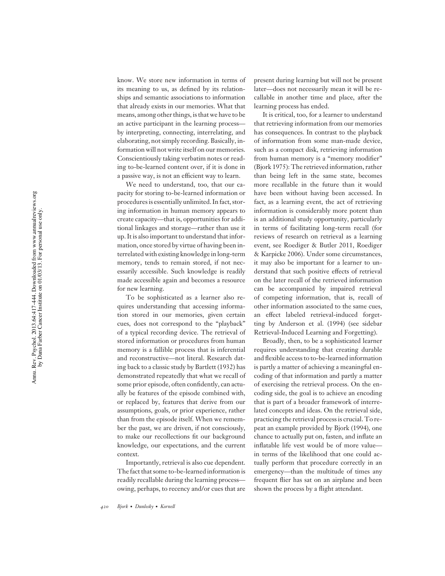know. We store new information in terms of its meaning to us, as defined by its relationships and semantic associations to information that already exists in our memories. What that means, among other things, is that we have to be an active participant in the learning process by interpreting, connecting, interrelating, and elaborating, not simply recording. Basically, information will not write itself on our memories. Conscientiously taking verbatim notes or reading to-be-learned content over, if it is done in a passive way, is not an efficient way to learn.

We need to understand, too, that our capacity for storing to-be-learned information or procedures is essentially unlimited. In fact, storing information in human memory appears to create capacity—that is, opportunities for additional linkages and storage—rather than use it up. It is also important to understand that information, once stored by virtue of having been interrelated with existing knowledge in long-term memory, tends to remain stored, if not necessarily accessible. Such knowledge is readily made accessible again and becomes a resource for new learning.

To be sophisticated as a learner also requires understanding that accessing information stored in our memories, given certain cues, does not correspond to the "playback" of a typical recording device. The retrieval of stored information or procedures from human memory is a fallible process that is inferential and reconstructive—not literal. Research dating back to a classic study by Bartlett (1932) has demonstrated repeatedly that what we recall of some prior episode, often confidently, can actually be features of the episode combined with, or replaced by, features that derive from our assumptions, goals, or prior experience, rather than from the episode itself. When we remember the past, we are driven, if not consciously, to make our recollections fit our background knowledge, our expectations, and the current context.

Importantly, retrieval is also cue dependent. The fact that some to-be-learned information is readily recallable during the learning process owing, perhaps, to recency and/or cues that are

present during learning but will not be present later—does not necessarily mean it will be recallable in another time and place, after the learning process has ended.

It is critical, too, for a learner to understand that retrieving information from our memories has consequences. In contrast to the playback of information from some man-made device, such as a compact disk, retrieving information from human memory is a "memory modifier" (Bjork 1975): The retrieved information, rather than being left in the same state, becomes more recallable in the future than it would have been without having been accessed. In fact, as a learning event, the act of retrieving information is considerably more potent than is an additional study opportunity, particularly in terms of facilitating long-term recall (for reviews of research on retrieval as a learning event, see Roediger & Butler 2011, Roediger & Karpicke 2006). Under some circumstances, it may also be important for a learner to understand that such positive effects of retrieval on the later recall of the retrieved information can be accompanied by impaired retrieval of competing information, that is, recall of other information associated to the same cues, an effect labeled retrieval-induced forgetting by Anderson et al. (1994) (see sidebar Retrieval-Induced Learning and Forgetting).

Broadly, then, to be a sophisticated learner requires understanding that creating durable and flexible access to to-be-learned information is partly a matter of achieving a meaningful encoding of that information and partly a matter of exercising the retrieval process. On the encoding side, the goal is to achieve an encoding that is part of a broader framework of interrelated concepts and ideas. On the retrieval side, practicing the retrieval process is crucial. To repeat an example provided by Bjork (1994), one chance to actually put on, fasten, and inflate an inflatable life vest would be of more value in terms of the likelihood that one could actually perform that procedure correctly in an emergency—than the multitude of times any frequent flier has sat on an airplane and been shown the process by a flight attendant.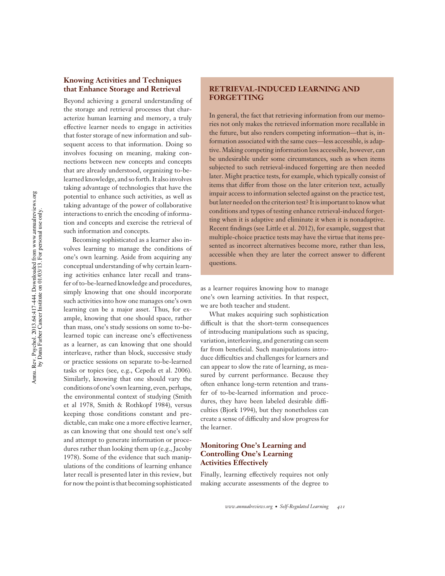## **Knowing Activities and Techniques that Enhance Storage and Retrieval**

Beyond achieving a general understanding of the storage and retrieval processes that characterize human learning and memory, a truly effective learner needs to engage in activities that foster storage of new information and subsequent access to that information. Doing so involves focusing on meaning, making connections between new concepts and concepts that are already understood, organizing to-belearned knowledge, and so forth. It also involves taking advantage of technologies that have the potential to enhance such activities, as well as taking advantage of the power of collaborative interactions to enrich the encoding of information and concepts and exercise the retrieval of such information and concepts.

Becoming sophisticated as a learner also involves learning to manage the conditions of one's own learning. Aside from acquiring any conceptual understanding of why certain learning activities enhance later recall and transfer of to-be-learned knowledge and procedures, simply knowing that one should incorporate such activities into how one manages one's own learning can be a major asset. Thus, for example, knowing that one should space, rather than mass, one's study sessions on some to-belearned topic can increase one's effectiveness as a learner, as can knowing that one should interleave, rather than block, successive study or practice sessions on separate to-be-learned tasks or topics (see, e.g., Cepeda et al. 2006). Similarly, knowing that one should vary the conditions of one's own learning, even, perhaps, the environmental context of studying (Smith et al 1978, Smith & Rothkopf 1984), versus keeping those conditions constant and predictable, can make one a more effective learner, as can knowing that one should test one's self and attempt to generate information or procedures rather than looking them up (e.g., Jacoby 1978). Some of the evidence that such manipulations of the conditions of learning enhance later recall is presented later in this review, but for now the point is that becoming sophisticated

# **RETRIEVAL-INDUCED LEARNING AND FORGETTING**

In general, the fact that retrieving information from our memories not only makes the retrieved information more recallable in the future, but also renders competing information—that is, information associated with the same cues—less accessible, is adaptive. Making competing information less accessible, however, can be undesirable under some circumstances, such as when items subjected to such retrieval-induced forgetting are then needed later. Might practice tests, for example, which typically consist of items that differ from those on the later criterion text, actually impair access to information selected against on the practice test, but later needed on the criterion test? It is important to know what conditions and types of testing enhance retrieval-induced forgetting when it is adaptive and eliminate it when it is nonadaptive. Recent findings (see Little et al. 2012), for example, suggest that multiple-choice practice tests may have the virtue that items presented as incorrect alternatives become more, rather than less, accessible when they are later the correct answer to different questions.

as a learner requires knowing how to manage one's own learning activities. In that respect, we are both teacher and student.

What makes acquiring such sophistication difficult is that the short-term consequences of introducing manipulations such as spacing, variation, interleaving, and generating can seem far from beneficial. Such manipulations introduce difficulties and challenges for learners and can appear to slow the rate of learning, as measured by current performance. Because they often enhance long-term retention and transfer of to-be-learned information and procedures, they have been labeled desirable difficulties (Bjork 1994), but they nonetheless can create a sense of difficulty and slow progress for the learner.

## **Monitoring One's Learning and Controlling One's Learning Activities Effectively**

Finally, learning effectively requires not only making accurate assessments of the degree to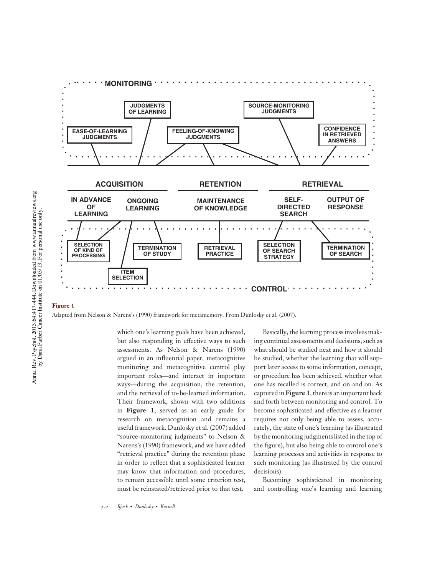

Adapted from Nelson & Narens's (1990) framework for metamemory. From Dunlosky et al. (2007).

which one's learning goals have been achieved, but also responding in effective ways to such assessments. As Nelson & Narens (1990) argued in an influential paper, metacognitive monitoring and metacognitive control play important roles—and interact in important ways—during the acquisition, the retention, and the retrieval of to-be-learned information. Their framework, shown with two additions in **Figure 1**, served as an early guide for research on metacognition and remains a useful framework. Dunlosky et al. (2007) added "source-monitoring judgments" to Nelson & Narens's (1990) framework, and we have added "retrieval practice" during the retention phase in order to reflect that a sophisticated learner may know that information and procedures, to remain accessible until some criterion test, must be reinstated/retrieved prior to that test.

Basically, the learning process involves making continual assessments and decisions, such as what should be studied next and how it should be studied, whether the learning that will support later access to some information, concept, or procedure has been achieved, whether what one has recalled is correct, and on and on. As captured in **Figure 1**, there is an important back and forth between monitoring and control. To become sophisticated and effective as a learner requires not only being able to assess, accurately, the state of one's learning (as illustrated by the monitoring judgments listed in the top of the figure), but also being able to control one's learning processes and activities in response to such monitoring (as illustrated by the control decisions).

Becoming sophisticated in monitoring and controlling one's learning and learning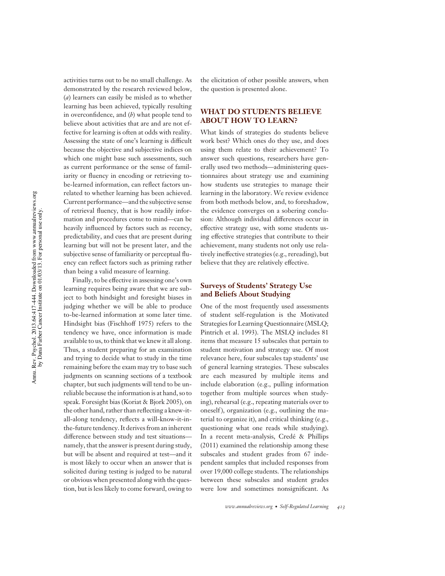activities turns out to be no small challenge. As demonstrated by the research reviewed below, (*a*) learners can easily be misled as to whether learning has been achieved, typically resulting in overconfidence, and (*b*) what people tend to believe about activities that are and are not effective for learning is often at odds with reality. Assessing the state of one's learning is difficult because the objective and subjective indices on which one might base such assessments, such as current performance or the sense of familiarity or fluency in encoding or retrieving tobe-learned information, can reflect factors unrelated to whether learning has been achieved. Current performance—and the subjective sense of retrieval fluency, that is how readily information and procedures come to mind—can be heavily influenced by factors such as recency, predictability, and cues that are present during learning but will not be present later, and the subjective sense of familiarity or perceptual fluency can reflect factors such as priming rather than being a valid measure of learning.

Finally, to be effective in assessing one's own learning requires being aware that we are subject to both hindsight and foresight biases in judging whether we will be able to produce to-be-learned information at some later time. Hindsight bias (Fischhoff 1975) refers to the tendency we have, once information is made available to us, to think that we knew it all along. Thus, a student preparing for an examination and trying to decide what to study in the time remaining before the exam may try to base such judgments on scanning sections of a textbook chapter, but such judgments will tend to be unreliable because the information is at hand, so to speak. Foresight bias (Koriat & Bjork 2005), on the other hand, rather than reflecting a knew-itall-along tendency, reflects a will-know-it-inthe-future tendency. It derives from an inherent difference between study and test situations namely, that the answer is present during study, but will be absent and required at test—and it is most likely to occur when an answer that is solicited during testing is judged to be natural or obvious when presented along with the question, but is less likely to come forward, owing to

the elicitation of other possible answers, when the question is presented alone.

## **WHAT DO STUDENTS BELIEVE ABOUT HOW TO LEARN?**

What kinds of strategies do students believe work best? Which ones do they use, and does using them relate to their achievement? To answer such questions, researchers have generally used two methods—administering questionnaires about strategy use and examining how students use strategies to manage their learning in the laboratory. We review evidence from both methods below, and, to foreshadow, the evidence converges on a sobering conclusion: Although individual differences occur in effective strategy use, with some students using effective strategies that contribute to their achievement, many students not only use relatively ineffective strategies (e.g., rereading), but believe that they are relatively effective.

# **Surveys of Students' Strategy Use and Beliefs About Studying**

One of the most frequently used assessments of student self-regulation is the Motivated Strategies for Learning Questionnaire (MSLQ; Pintrich et al. 1993). The MSLQ includes 81 items that measure 15 subscales that pertain to student motivation and strategy use. Of most relevance here, four subscales tap students' use of general learning strategies. These subscales are each measured by multiple items and include elaboration (e.g., pulling information together from multiple sources when studying), rehearsal (e.g., repeating materials over to oneself ), organization (e.g., outlining the material to organize it), and critical thinking (e.g., questioning what one reads while studying). In a recent meta-analysis, Credé & Phillips (2011) examined the relationship among these subscales and student grades from 67 independent samples that included responses from over 19,000 college students. The relationships between these subscales and student grades were low and sometimes nonsignificant. As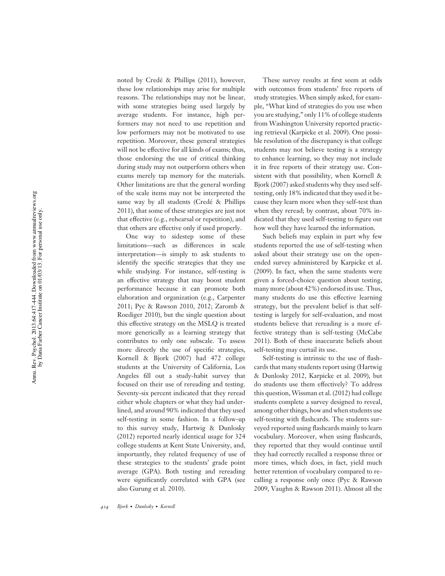noted by Credé & Phillips (2011), however, these low relationships may arise for multiple reasons. The relationships may not be linear, with some strategies being used largely by average students. For instance, high performers may not need to use repetition and low performers may not be motivated to use repetition. Moreover, these general strategies will not be effective for all kinds of exams; thus, those endorsing the use of critical thinking during study may not outperform others when exams merely tap memory for the materials. Other limitations are that the general wording of the scale items may not be interpreted the same way by all students (Credé & Phillips 2011), that some of these strategies are just not that effective (e.g., rehearsal or repetition), and that others are effective only if used properly.

One way to sidestep some of these limitations—such as differences in scale interpretation—is simply to ask students to identify the specific strategies that they use while studying. For instance, self-testing is an effective strategy that may boost student performance because it can promote both elaboration and organization (e.g., Carpenter 2011; Pyc & Rawson 2010, 2012; Zaromb & Roediger 2010), but the single question about this effective strategy on the MSLQ is treated more generically as a learning strategy that contributes to only one subscale. To assess more directly the use of specific strategies, Kornell & Bjork (2007) had 472 college students at the University of California, Los Angeles fill out a study-habit survey that focused on their use of rereading and testing. Seventy-six percent indicated that they reread either whole chapters or what they had underlined, and around 90% indicated that they used self-testing in some fashion. In a follow-up to this survey study, Hartwig & Dunlosky (2012) reported nearly identical usage for 324 college students at Kent State University, and, importantly, they related frequency of use of these strategies to the students' grade point average (GPA). Both testing and rereading were significantly correlated with GPA (see also Gurung et al. 2010).

These survey results at first seem at odds with outcomes from students' free reports of study strategies. When simply asked, for example, "What kind of strategies do you use when you are studying," only 11% of college students from Washington University reported practicing retrieval (Karpicke et al. 2009). One possible resolution of the discrepancy is that college students may not believe testing is a strategy to enhance learning, so they may not include it in free reports of their strategy use. Consistent with that possibility, when Kornell & Bjork (2007) asked students why they used selftesting, only 18% indicated that they used it because they learn more when they self-test than when they reread; by contrast, about 70% indicated that they used self-testing to figure out how well they have learned the information.

Such beliefs may explain in part why few students reported the use of self-testing when asked about their strategy use on the openended survey administered by Karpicke et al. (2009). In fact, when the same students were given a forced-choice question about testing, many more (about 42%) endorsed its use. Thus, many students do use this effective learning strategy, but the prevalent belief is that selftesting is largely for self-evaluation, and most students believe that rereading is a more effective strategy than is self-testing (McCabe 2011). Both of these inaccurate beliefs about self-testing may curtail its use.

Self-testing is intrinsic to the use of flashcards that many students report using (Hartwig & Dunlosky 2012, Karpicke et al. 2009), but do students use them effectively? To address this question, Wissman et al. (2012) had college students complete a survey designed to reveal, among other things, how and when students use self-testing with flashcards. The students surveyed reported using flashcards mainly to learn vocabulary. Moreover, when using flashcards, they reported that they would continue until they had correctly recalled a response three or more times, which does, in fact, yield much better retention of vocabulary compared to recalling a response only once (Pyc & Rawson 2009, Vaughn & Rawson 2011). Almost all the

*424 Bjork* · *Dunlosky* · *Kornell*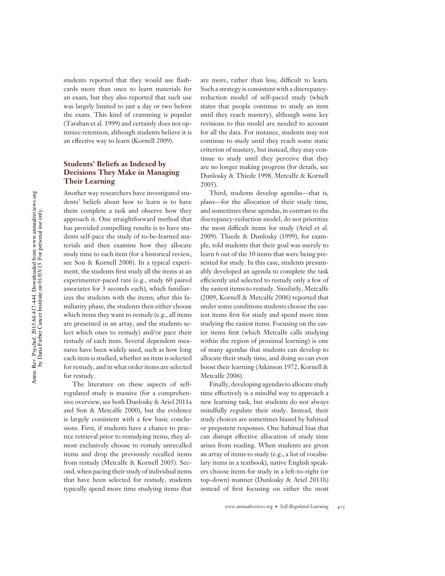students reported that they would use flashcards more than once to learn materials for an exam, but they also reported that such use was largely limited to just a day or two before the exam. This kind of cramming is popular (Taraban et al. 1999) and certainly does not optimize retention, although students believe it is an effective way to learn (Kornell 2009).

# **Students' Beliefs as Indexed by Decisions They Make in Managing Their Learning**

Another way researchers have investigated students' beliefs about how to learn is to have them complete a task and observe how they approach it. One straightforward method that has provided compelling results is to have students self-pace the study of to-be-learned materials and then examine how they allocate study time to each item (for a historical review, see Son & Kornell 2008). In a typical experiment, the students first study all the items at an experimenter-paced rate (e.g., study 60 paired associates for 3 seconds each), which familiarizes the students with the items; after this familiarity phase, the students then either choose which items they want to restudy (e.g., all items are presented in an array, and the students select which ones to restudy) and/or pace their restudy of each item. Several dependent measures have been widely used, such as how long each item is studied, whether an item is selected for restudy, and in what order items are selected for restudy.

The literature on these aspects of selfregulated study is massive (for a comprehensive overview, see both Dunlosky & Ariel 2011a and Son & Metcalfe 2000), but the evidence is largely consistent with a few basic conclusions. First, if students have a chance to practice retrieval prior to restudying items, they almost exclusively choose to restudy unrecalled items and drop the previously recalled items from restudy (Metcalfe & Kornell 2005). Second, when pacing their study of individual items that have been selected for restudy, students typically spend more time studying items that

are more, rather than less, difficult to learn. Such a strategy is consistent with a discrepancyreduction model of self-paced study (which states that people continue to study an item until they reach mastery), although some key revisions to this model are needed to account for all the data. For instance, students may not continue to study until they reach some static criterion of mastery, but instead, they may continue to study until they perceive that they are no longer making progress (for details, see Dunlosky & Thiede 1998, Metcalfe & Kornell 2005).

Third, students develop agendas—that is, plans—for the allocation of their study time, and sometimes these agendas, in contrast to the discrepancy-reduction model, do not prioritize the most difficult items for study (Ariel et al. 2009). Thiede & Dunlosky (1999), for example, told students that their goal was merely to learn 6 out of the 30 items that were being presented for study. In this case, students presumably developed an agenda to complete the task efficiently and selected to restudy only a few of the easiest items to restudy. Similarly, Metcalfe (2009, Kornell & Metcalfe 2006) reported that under some conditions students choose the easiest items first for study and spend more time studying the easiest items. Focusing on the easier items first (which Metcalfe calls studying within the region of proximal learning) is one of many agendas that students can develop to allocate their study time, and doing so can even boost their learning (Atkinson 1972, Kornell & Metcalfe 2006).

Finally, developing agendas to allocate study time effectively is a mindful way to approach a new learning task, but students do not always mindfully regulate their study. Instead, their study choices are sometimes biased by habitual or prepotent responses. One habitual bias that can disrupt effective allocation of study time arises from reading. When students are given an array of items to study (e.g., a list of vocabulary items in a textbook), native English speakers choose items for study in a left-to-right (or top-down) manner (Dunlosky & Ariel 2011b) instead of first focusing on either the most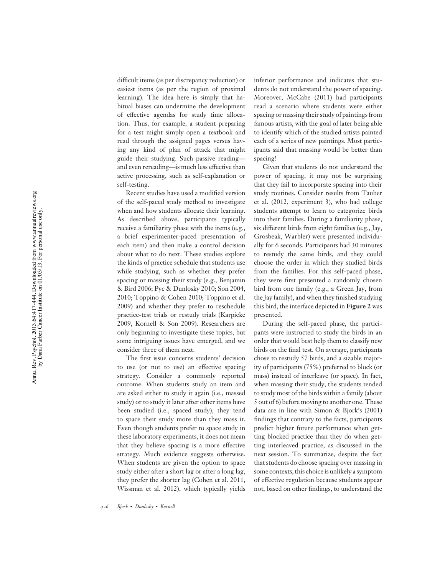difficult items (as per discrepancy reduction) or easiest items (as per the region of proximal learning). The idea here is simply that habitual biases can undermine the development of effective agendas for study time allocation. Thus, for example, a student preparing for a test might simply open a textbook and read through the assigned pages versus having any kind of plan of attack that might guide their studying. Such passive reading and even rereading—is much less effective than active processing, such as self-explanation or self-testing.

Recent studies have used a modified version of the self-paced study method to investigate when and how students allocate their learning. As described above, participants typically receive a familiarity phase with the items (e.g., a brief experimenter-paced presentation of each item) and then make a control decision about what to do next. These studies explore the kinds of practice schedule that students use while studying, such as whether they prefer spacing or massing their study (e.g., Benjamin & Bird 2006; Pyc & Dunlosky 2010; Son 2004, 2010; Toppino & Cohen 2010; Toppino et al. 2009) and whether they prefer to reschedule practice-test trials or restudy trials (Karpicke 2009, Kornell & Son 2009). Researchers are only beginning to investigate these topics, but some intriguing issues have emerged, and we consider three of them next.

The first issue concerns students' decision to use (or not to use) an effective spacing strategy. Consider a commonly reported outcome: When students study an item and are asked either to study it again (i.e., massed study) or to study it later after other items have been studied (i.e., spaced study), they tend to space their study more than they mass it. Even though students prefer to space study in these laboratory experiments, it does not mean that they believe spacing is a more effective strategy. Much evidence suggests otherwise. When students are given the option to space study either after a short lag or after a long lag, they prefer the shorter lag (Cohen et al. 2011, Wissman et al. 2012), which typically yields

inferior performance and indicates that students do not understand the power of spacing. Moreover, McCabe (2011) had participants read a scenario where students were either spacing or massing their study of paintings from famous artists, with the goal of later being able to identify which of the studied artists painted each of a series of new paintings. Most participants said that massing would be better than spacing!

Given that students do not understand the power of spacing, it may not be surprising that they fail to incorporate spacing into their study routines. Consider results from Tauber et al. (2012, experiment 3), who had college students attempt to learn to categorize birds into their families. During a familiarity phase, six different birds from eight families (e.g., Jay, Grosbeak, Warbler) were presented individually for 6 seconds. Participants had 30 minutes to restudy the same birds, and they could choose the order in which they studied birds from the families. For this self-paced phase, they were first presented a randomly chosen bird from one family (e.g., a Green Jay, from the Jay family), and when they finished studying this bird, the interface depicted in **Figure 2** was presented.

During the self-paced phase, the participants were instructed to study the birds in an order that would best help them to classify new birds on the final test. On average, participants chose to restudy 57 birds, and a sizable majority of participants (75%) preferred to block (or mass) instead of interleave (or space). In fact, when massing their study, the students tended to study most of the birds within a family (about 5 out of 6) before moving to another one. These data are in line with Simon & Bjork's (2001) findings that contrary to the facts, participants predict higher future performance when getting blocked practice than they do when getting interleaved practice, as discussed in the next session. To summarize, despite the fact that students do choose spacing over massing in some contexts, this choice is unlikely a symptom of effective regulation because students appear not, based on other findings, to understand the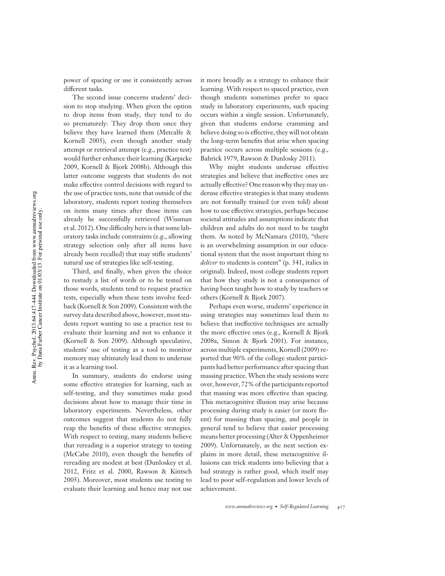power of spacing or use it consistently across different tasks.

The second issue concerns students' decision to stop studying. When given the option to drop items from study, they tend to do so prematurely: They drop them once they believe they have learned them (Metcalfe & Kornell 2005), even though another study attempt or retrieval attempt (e.g., practice test) would further enhance their learning (Karpicke 2009, Kornell & Bjork 2008b). Although this latter outcome suggests that students do not make effective control decisions with regard to the use of practice tests, note that outside of the laboratory, students report testing themselves on items many times after those items can already be successfully retrieved (Wissman et al. 2012). One difficulty here is that some laboratory tasks include constraints (e.g., allowing strategy selection only after all items have already been recalled) that may stifle students' natural use of strategies like self-testing.

Third, and finally, when given the choice to restudy a list of words or to be tested on those words, students tend to request practice tests, especially when these tests involve feedback (Kornell & Son 2009). Consistent with the survey data described above, however, most students report wanting to use a practice test to evaluate their learning and not to enhance it (Kornell & Son 2009). Although speculative, students' use of testing as a tool to monitor memory may ultimately lead them to underuse it as a learning tool.

In summary, students do endorse using some effective strategies for learning, such as self-testing, and they sometimes make good decisions about how to manage their time in laboratory experiments. Nevertheless, other outcomes suggest that students do not fully reap the benefits of these effective strategies. With respect to testing, many students believe that rereading is a superior strategy to testing (McCabe 2010), even though the benefits of rereading are modest at best (Dunloskey et al. 2012, Fritz et al. 2000, Rawson & Kintsch 2005). Moreover, most students use testing to evaluate their learning and hence may not use

it more broadly as a strategy to enhance their learning. With respect to spaced practice, even though students sometimes prefer to space study in laboratory experiments, such spacing occurs within a single session. Unfortunately, given that students endorse cramming and believe doing so is effective, they will not obtain the long-term benefits that arise when spacing practice occurs across multiple sessions (e.g., Bahrick 1979, Rawson & Dunlosky 2011).

Why might students underuse effective strategies and believe that ineffective ones are actually effective? One reason why they may underuse effective strategies is that many students are not formally trained (or even told) about how to use effective strategies, perhaps because societal attitudes and assumptions indicate that children and adults do not need to be taught them. As noted by McNamara (2010), "there is an overwhelming assumption in our educational system that the most important thing to *deliver* to students is content" (p. 341, italics in original). Indeed, most college students report that how they study is not a consequence of having been taught how to study by teachers or others (Kornell & Bjork 2007).

Perhaps even worse, students' experience in using strategies may sometimes lead them to believe that ineffective techniques are actually the more effective ones (e.g., Kornell & Bjork 2008a, Simon & Bjork 2001). For instance, across multiple experiments, Kornell (2009) reported that 90% of the college student participants had better performance after spacing than massing practice. When the study sessions were over, however, 72% of the participants reported that massing was more effective than spacing. This metacognitive illusion may arise because processing during study is easier (or more fluent) for massing than spacing, and people in general tend to believe that easier processing means better processing (Alter & Oppenheimer 2009). Unfortunately, as the next section explains in more detail, these metacognitive illusions can trick students into believing that a bad strategy is rather good, which itself may lead to poor self-regulation and lower levels of achievement.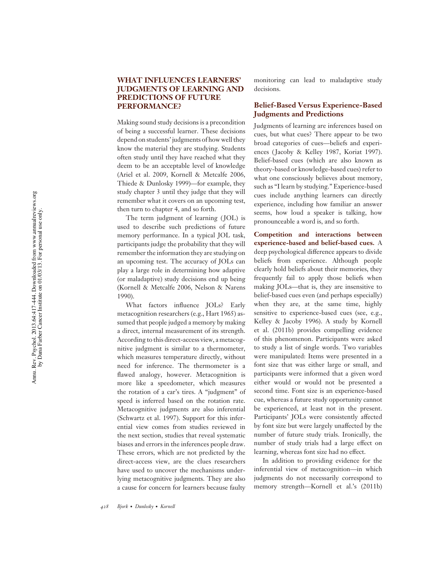# **WHAT INFLUENCES LEARNERS' JUDGMENTS OF LEARNING AND PREDICTIONS OF FUTURE PERFORMANCE?**

Making sound study decisions is a precondition of being a successful learner. These decisions depend on students' judgments of how well they know the material they are studying. Students often study until they have reached what they deem to be an acceptable level of knowledge (Ariel et al. 2009, Kornell & Metcalfe 2006, Thiede & Dunlosky 1999)—for example, they study chapter 3 until they judge that they will remember what it covers on an upcoming test, then turn to chapter 4, and so forth.

The term judgment of learning ( JOL) is used to describe such predictions of future memory performance. In a typical JOL task, participants judge the probability that they will remember the information they are studying on an upcoming test. The accuracy of JOLs can play a large role in determining how adaptive (or maladaptive) study decisions end up being (Kornell & Metcalfe 2006, Nelson & Narens 1990).

What factors influence JOLs? Early metacognition researchers (e.g., Hart 1965) assumed that people judged a memory by making a direct, internal measurement of its strength. According to this direct-access view, a metacognitive judgment is similar to a thermometer, which measures temperature directly, without need for inference. The thermometer is a flawed analogy, however. Metacognition is more like a speedometer, which measures the rotation of a car's tires. A "judgment" of speed is inferred based on the rotation rate. Metacognitive judgments are also inferential (Schwartz et al. 1997). Support for this inferential view comes from studies reviewed in the next section, studies that reveal systematic biases and errors in the inferences people draw. These errors, which are not predicted by the direct-access view, are the clues researchers have used to uncover the mechanisms underlying metacognitive judgments. They are also a cause for concern for learners because faulty

monitoring can lead to maladaptive study decisions.

## **Belief-Based Versus Experience-Based Judgments and Predictions**

Judgments of learning are inferences based on cues, but what cues? There appear to be two broad categories of cues—beliefs and experiences (Jacoby & Kelley 1987, Koriat 1997). Belief-based cues (which are also known as theory-based or knowledge-based cues) refer to what one consciously believes about memory, such as "I learn by studying." Experience-based cues include anything learners can directly experience, including how familiar an answer seems, how loud a speaker is talking, how pronounceable a word is, and so forth.

**Competition and interactions between experience-based and belief-based cues.** A deep psychological difference appears to divide beliefs from experience. Although people clearly hold beliefs about their memories, they frequently fail to apply those beliefs when making JOLs—that is, they are insensitive to belief-based cues even (and perhaps especially) when they are, at the same time, highly sensitive to experience-based cues (see, e.g., Kelley & Jacoby 1996). A study by Kornell et al. (2011b) provides compelling evidence of this phenomenon. Participants were asked to study a list of single words. Two variables were manipulated: Items were presented in a font size that was either large or small, and participants were informed that a given word either would or would not be presented a second time. Font size is an experience-based cue, whereas a future study opportunity cannot be experienced, at least not in the present. Participants' JOLs were consistently affected by font size but were largely unaffected by the number of future study trials. Ironically, the number of study trials had a large effect on learning, whereas font size had no effect.

In addition to providing evidence for the inferential view of metacognition—in which judgments do not necessarily correspond to memory strength—Kornell et al.'s (2011b)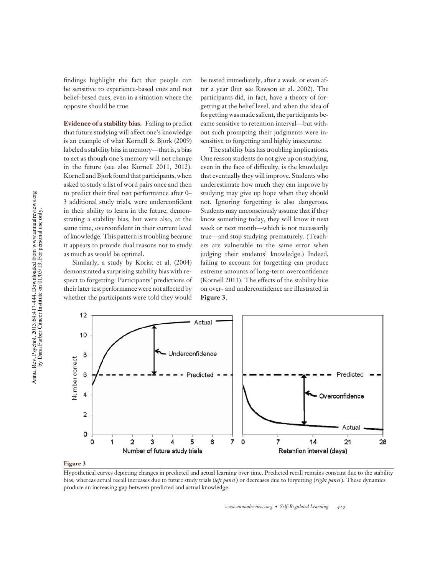findings highlight the fact that people can be sensitive to experience-based cues and not belief-based cues, even in a situation where the opposite should be true.

**Evidence of a stability bias.** Failing to predict that future studying will affect one's knowledge is an example of what Kornell & Bjork (2009) labeled a stability bias in memory—that is, a bias to act as though one's memory will not change in the future (see also Kornell 2011, 2012). Kornell and Bjork found that participants, when asked to study a list of word pairs once and then to predict their final test performance after 0– 3 additional study trials, were underconfident in their ability to learn in the future, demonstrating a stability bias, but were also, at the same time, overconfident in their current level of knowledge. This pattern is troubling because it appears to provide dual reasons not to study as much as would be optimal.

Similarly, a study by Koriat et al. (2004) demonstrated a surprising stability bias with respect to forgetting: Participants' predictions of their later test performance were not affected by whether the participants were told they would

be tested immediately, after a week, or even after a year (but see Rawson et al. 2002). The participants did, in fact, have a theory of forgetting at the belief level, and when the idea of forgetting was made salient, the participants became sensitive to retention interval—but without such prompting their judgments were insensitive to forgetting and highly inaccurate.

The stability bias has troubling implications. One reason students do not give up on studying, even in the face of difficulty, is the knowledge that eventually they will improve. Students who underestimate how much they can improve by studying may give up hope when they should not. Ignoring forgetting is also dangerous. Students may unconsciously assume that if they know something today, they will know it next week or next month—which is not necessarily true—and stop studying prematurely. (Teachers are vulnerable to the same error when judging their students' knowledge.) Indeed, failing to account for forgetting can produce extreme amounts of long-term overconfidence (Kornell 2011). The effects of the stability bias on over- and underconfidence are illustrated in **Figure 3**.



#### **Figure 3**

Hypothetical curves depicting changes in predicted and actual learning over time. Predicted recall remains constant due to the stability bias, whereas actual recall increases due to future study trials (*left panel* ) or decreases due to forgetting (*right panel* ). These dynamics produce an increasing gap between predicted and actual knowledge.

*www.annualreviews.org* • *Self-Regulated Learning 429*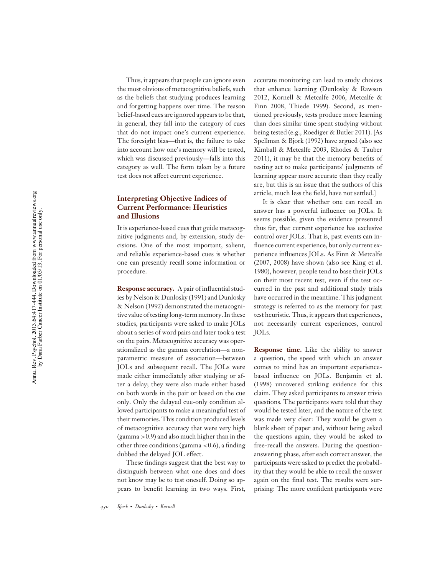Thus, it appears that people can ignore even the most obvious of metacognitive beliefs, such as the beliefs that studying produces learning and forgetting happens over time. The reason belief-based cues are ignored appears to be that, in general, they fall into the category of cues that do not impact one's current experience. The foresight bias—that is, the failure to take into account how one's memory will be tested, which was discussed previously—falls into this category as well. The form taken by a future test does not affect current experience.

## **Interpreting Objective Indices of Current Performance: Heuristics and Illusions**

It is experience-based cues that guide metacognitive judgments and, by extension, study decisions. One of the most important, salient, and reliable experience-based cues is whether one can presently recall some information or procedure.

**Response accuracy.** A pair of influential studies by Nelson & Dunlosky (1991) and Dunlosky & Nelson (1992) demonstrated the metacognitive value of testing long-term memory. In these studies, participants were asked to make JOLs about a series of word pairs and later took a test on the pairs. Metacognitive accuracy was operationalized as the gamma correlation—a nonparametric measure of association—between JOLs and subsequent recall. The JOLs were made either immediately after studying or after a delay; they were also made either based on both words in the pair or based on the cue only. Only the delayed cue-only condition allowed participants to make a meaningful test of their memories. This condition produced levels of metacognitive accuracy that were very high (gamma >0.9) and also much higher than in the other three conditions (gamma  $< 0.6$ ), a finding dubbed the delayed JOL effect.

These findings suggest that the best way to distinguish between what one does and does not know may be to test oneself. Doing so appears to benefit learning in two ways. First,

accurate monitoring can lead to study choices that enhance learning (Dunlosky & Rawson 2012, Kornell & Metcalfe 2006, Metcalfe & Finn 2008, Thiede 1999). Second, as mentioned previously, tests produce more learning than does similar time spent studying without being tested (e.g., Roediger & Butler 2011). [As Spellman & Bjork (1992) have argued (also see Kimball & Metcalfe 2003, Rhodes & Tauber 2011), it may be that the memory benefits of testing act to make participants' judgments of learning appear more accurate than they really are, but this is an issue that the authors of this article, much less the field, have not settled.]

It is clear that whether one can recall an answer has a powerful influence on JOLs. It seems possible, given the evidence presented thus far, that current experience has exclusive control over JOLs. That is, past events can influence current experience, but only current experience influences JOLs. As Finn & Metcalfe (2007, 2008) have shown (also see King et al. 1980), however, people tend to base their JOLs on their most recent test, even if the test occurred in the past and additional study trials have occurred in the meantime. This judgment strategy is referred to as the memory for past test heuristic. Thus, it appears that experiences, not necessarily current experiences, control JOLs.

**Response time.** Like the ability to answer a question, the speed with which an answer comes to mind has an important experiencebased influence on JOLs. Benjamin et al. (1998) uncovered striking evidence for this claim. They asked participants to answer trivia questions. The participants were told that they would be tested later, and the nature of the test was made very clear: They would be given a blank sheet of paper and, without being asked the questions again, they would be asked to free-recall the answers. During the questionanswering phase, after each correct answer, the participants were asked to predict the probability that they would be able to recall the answer again on the final test. The results were surprising: The more confident participants were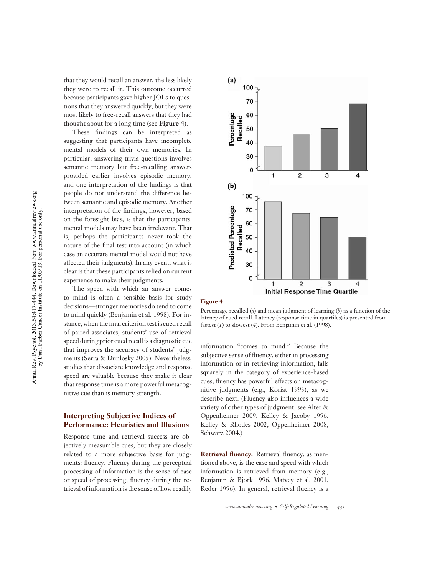that they would recall an answer, the less likely they were to recall it. This outcome occurred because participants gave higher JOLs to questions that they answered quickly, but they were most likely to free-recall answers that they had thought about for a long time (see **Figure 4**).

These findings can be interpreted as suggesting that participants have incomplete mental models of their own memories. In particular, answering trivia questions involves semantic memory but free-recalling answers provided earlier involves episodic memory, and one interpretation of the findings is that people do not understand the difference between semantic and episodic memory. Another interpretation of the findings, however, based on the foresight bias, is that the participants' mental models may have been irrelevant. That is, perhaps the participants never took the nature of the final test into account (in which case an accurate mental model would not have affected their judgments). In any event, what is clear is that these participants relied on current experience to make their judgments.

The speed with which an answer comes to mind is often a sensible basis for study decisions—stronger memories do tend to come to mind quickly (Benjamin et al. 1998). For instance, when the final criterion test is cued recall of paired associates, students' use of retrieval speed during prior cued recall is a diagnostic cue that improves the accuracy of students' judgments (Serra & Dunlosky 2005). Nevertheless, studies that dissociate knowledge and response speed are valuable because they make it clear that response time is a more powerful metacognitive cue than is memory strength.

# **Interpreting Subjective Indices of Performance: Heuristics and Illusions**

Response time and retrieval success are objectively measurable cues, but they are closely related to a more subjective basis for judgments: fluency. Fluency during the perceptual processing of information is the sense of ease or speed of processing; fluency during the retrieval of information is the sense of how readily



#### **Figure 4**

Percentage recalled (*a*) and mean judgment of learning (*b*) as a function of the latency of cued recall. Latency (response time in quartiles) is presented from fastest (*1*) to slowest (*4*). From Benjamin et al. (1998).

information "comes to mind." Because the subjective sense of fluency, either in processing information or in retrieving information, falls squarely in the category of experience-based cues, fluency has powerful effects on metacognitive judgments (e.g., Koriat 1993), as we describe next. (Fluency also influences a wide variety of other types of judgment; see Alter & Oppenheimer 2009, Kelley & Jacoby 1996, Kelley & Rhodes 2002, Oppenheimer 2008, Schwarz 2004.)

**Retrieval fluency.** Retrieval fluency, as mentioned above, is the ease and speed with which information is retrieved from memory (e.g., Benjamin & Bjork 1996, Matvey et al. 2001, Reder 1996). In general, retrieval fluency is a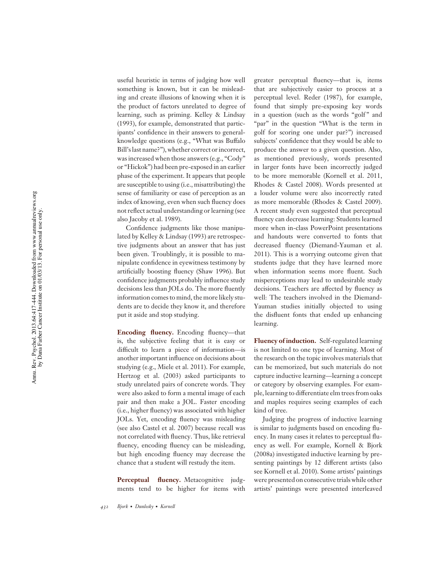useful heuristic in terms of judging how well something is known, but it can be misleading and create illusions of knowing when it is the product of factors unrelated to degree of learning, such as priming. Kelley & Lindsay (1993), for example, demonstrated that participants' confidence in their answers to generalknowledge questions (e.g., "What was Buffalo Bill's last name?"), whether correct or incorrect, was increased when those answers (e.g., "Cody" or "Hickok") had been pre-exposed in an earlier phase of the experiment. It appears that people are susceptible to using (i.e., misattributing) the sense of familiarity or ease of perception as an index of knowing, even when such fluency does not reflect actual understanding or learning (see also Jacoby et al. 1989).

Confidence judgments like those manipulated by Kelley & Lindsay (1993) are retrospective judgments about an answer that has just been given. Troublingly, it is possible to manipulate confidence in eyewitness testimony by artificially boosting fluency (Shaw 1996). But confidence judgments probably influence study decisions less than JOLs do. The more fluently information comes to mind, the more likely students are to decide they know it, and therefore put it aside and stop studying.

**Encoding fluency.** Encoding fluency—that is, the subjective feeling that it is easy or difficult to learn a piece of information—is another important influence on decisions about studying (e.g., Miele et al. 2011). For example, Hertzog et al. (2003) asked participants to study unrelated pairs of concrete words. They were also asked to form a mental image of each pair and then make a JOL. Faster encoding (i.e., higher fluency) was associated with higher JOLs. Yet, encoding fluency was misleading (see also Castel et al. 2007) because recall was not correlated with fluency. Thus, like retrieval fluency, encoding fluency can be misleading, but high encoding fluency may decrease the chance that a student will restudy the item.

Perceptual fluency. Metacognitive judgments tend to be higher for items with

greater perceptual fluency—that is, items that are subjectively easier to process at a perceptual level. Reder (1987), for example, found that simply pre-exposing key words in a question (such as the words "golf" and "par" in the question "What is the term in golf for scoring one under par?") increased subjects' confidence that they would be able to produce the answer to a given question. Also, as mentioned previously, words presented in larger fonts have been incorrectly judged to be more memorable (Kornell et al. 2011, Rhodes & Castel 2008). Words presented at a louder volume were also incorrectly rated as more memorable (Rhodes & Castel 2009). A recent study even suggested that perceptual fluency can decrease learning: Students learned more when in-class PowerPoint presentations and handouts were converted to fonts that decreased fluency (Diemand-Yauman et al. 2011). This is a worrying outcome given that students judge that they have learned more when information seems more fluent. Such misperceptions may lead to undesirable study decisions. Teachers are affected by fluency as well: The teachers involved in the Diemand-Yauman studies initially objected to using the disfluent fonts that ended up enhancing learning.

**Fluency of induction.** Self-regulated learning is not limited to one type of learning. Most of the research on the topic involves materials that can be memorized, but such materials do not capture inductive learning—learning a concept or category by observing examples. For example, learning to differentiate elm trees from oaks and maples requires seeing examples of each kind of tree.

Judging the progress of inductive learning is similar to judgments based on encoding fluency. In many cases it relates to perceptual fluency as well. For example, Kornell & Bjork (2008a) investigated inductive learning by presenting paintings by 12 different artists (also see Kornell et al. 2010). Some artists' paintings were presented on consecutive trials while other artists' paintings were presented interleaved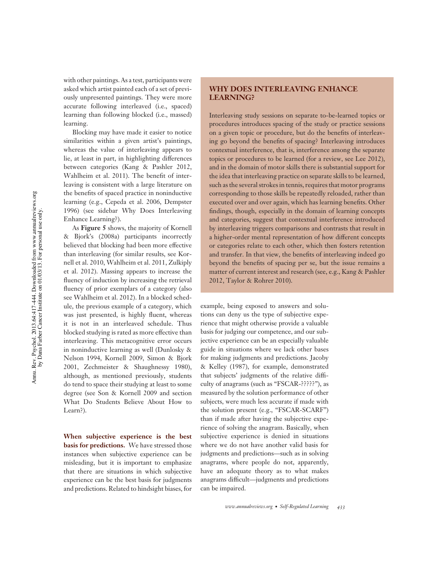with other paintings. As a test, participants were asked which artist painted each of a set of previously unpresented paintings. They were more accurate following interleaved (i.e., spaced) learning than following blocked (i.e., massed) learning.

Blocking may have made it easier to notice similarities within a given artist's paintings, whereas the value of interleaving appears to lie, at least in part, in highlighting differences between categories (Kang & Pashler 2012, Wahlheim et al. 2011). The benefit of interleaving is consistent with a large literature on the benefits of spaced practice in noninductive learning (e.g., Cepeda et al. 2006, Dempster 1996) (see sidebar Why Does Interleaving Enhance Learning?).

As **Figure 5** shows, the majority of Kornell & Bjork's (2008a) participants incorrectly believed that blocking had been more effective than interleaving (for similar results, see Kornell et al. 2010, Wahlheim et al. 2011, Zulkiply et al. 2012). Massing appears to increase the fluency of induction by increasing the retrieval fluency of prior exemplars of a category (also see Wahlheim et al. 2012). In a blocked schedule, the previous example of a category, which was just presented, is highly fluent, whereas it is not in an interleaved schedule. Thus blocked studying is rated as more effective than interleaving. This metacognitive error occurs in noninductive learning as well (Dunlosky & Nelson 1994, Kornell 2009, Simon & Bjork 2001, Zechmeister & Shaughnessy 1980), although, as mentioned previously, students do tend to space their studying at least to some degree (see Son & Kornell 2009 and section What Do Students Believe About How to Learn?).

**When subjective experience is the best basis for predictions.** We have stressed those instances when subjective experience can be misleading, but it is important to emphasize that there are situations in which subjective experience can be the best basis for judgments and predictions. Related to hindsight biases, for

# **WHY DOES INTERLEAVING ENHANCE LEARNING?**

Interleaving study sessions on separate to-be-learned topics or procedures introduces spacing of the study or practice sessions on a given topic or procedure, but do the benefits of interleaving go beyond the benefits of spacing? Interleaving introduces contextual interference, that is, interference among the separate topics or procedures to be learned (for a review, see Lee 2012), and in the domain of motor skills there is substantial support for the idea that interleaving practice on separate skills to be learned, such as the several strokes in tennis, requires that motor programs corresponding to those skills be repeatedly reloaded, rather than executed over and over again, which has learning benefits. Other findings, though, especially in the domain of learning concepts and categories, suggest that contextual interference introduced by interleaving triggers comparisons and contrasts that result in a higher-order mental representation of how different concepts or categories relate to each other, which then fosters retention and transfer. In that view, the benefits of interleaving indeed go beyond the benefits of spacing per se, but the issue remains a matter of current interest and research (see, e.g., Kang & Pashler 2012, Taylor & Rohrer 2010).

example, being exposed to answers and solutions can deny us the type of subjective experience that might otherwise provide a valuable basis for judging our competence, and our subjective experience can be an especially valuable guide in situations where we lack other bases for making judgments and predictions. Jacoby & Kelley (1987), for example, demonstrated that subjects' judgments of the relative difficulty of anagrams (such as "FSCAR-?????"), as measured by the solution performance of other subjects, were much less accurate if made with the solution present (e.g., "FSCAR-SCARF") than if made after having the subjective experience of solving the anagram. Basically, when subjective experience is denied in situations where we do not have another valid basis for judgments and predictions—such as in solving anagrams, where people do not, apparently, have an adequate theory as to what makes anagrams difficult—judgments and predictions can be impaired.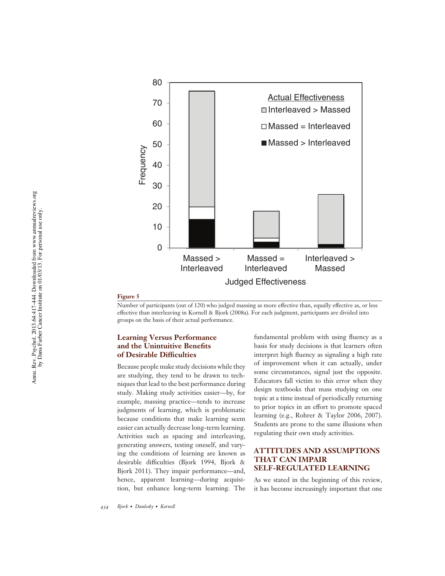

#### **Figure 5**

Number of participants (out of 120) who judged massing as more effective than, equally effective as, or less effective than interleaving in Kornell & Bjork (2008a). For each judgment, participants are divided into groups on the basis of their actual performance.

## **Learning Versus Performance and the Unintuitive Benefits of Desirable Difficulties**

Because people make study decisions while they are studying, they tend to be drawn to techniques that lead to the best performance during study. Making study activities easier—by, for example, massing practice—tends to increase judgments of learning, which is problematic because conditions that make learning seem easier can actually decrease long-term learning. Activities such as spacing and interleaving, generating answers, testing oneself, and varying the conditions of learning are known as desirable difficulties (Bjork 1994, Bjork & Bjork 2011). They impair performance—and, hence, apparent learning—during acquisition, but enhance long-term learning. The

fundamental problem with using fluency as a basis for study decisions is that learners often interpret high fluency as signaling a high rate of improvement when it can actually, under some circumstances, signal just the opposite. Educators fall victim to this error when they design textbooks that mass studying on one topic at a time instead of periodically returning to prior topics in an effort to promote spaced learning (e.g., Rohrer & Taylor 2006, 2007). Students are prone to the same illusions when regulating their own study activities.

## **ATTITUDES AND ASSUMPTIONS THAT CAN IMPAIR SELF-REGULATED LEARNING**

As we stated in the beginning of this review, it has become increasingly important that one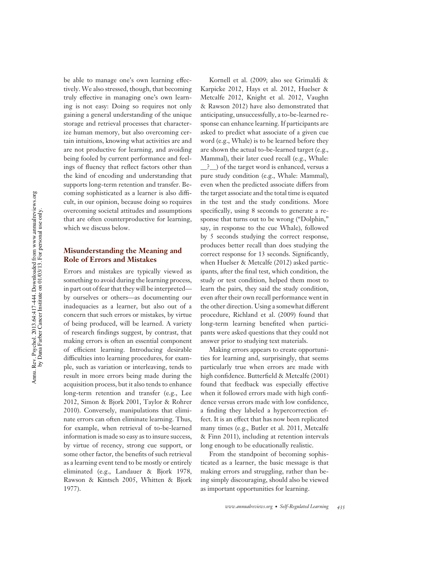be able to manage one's own learning effectively. We also stressed, though, that becoming truly effective in managing one's own learning is not easy: Doing so requires not only gaining a general understanding of the unique storage and retrieval processes that characterize human memory, but also overcoming certain intuitions, knowing what activities are and are not productive for learning, and avoiding being fooled by current performance and feelings of fluency that reflect factors other than the kind of encoding and understanding that supports long-term retention and transfer. Becoming sophisticated as a learner is also difficult, in our opinion, because doing so requires overcoming societal attitudes and assumptions that are often counterproductive for learning, which we discuss below.

## **Misunderstanding the Meaning and Role of Errors and Mistakes**

Errors and mistakes are typically viewed as something to avoid during the learning process, in part out of fear that they will be interpreted by ourselves or others—as documenting our inadequacies as a learner, but also out of a concern that such errors or mistakes, by virtue of being produced, will be learned. A variety of research findings suggest, by contrast, that making errors is often an essential component of efficient learning. Introducing desirable difficulties into learning procedures, for example, such as variation or interleaving, tends to result in more errors being made during the acquisition process, but it also tends to enhance long-term retention and transfer (e.g., Lee 2012, Simon & Bjork 2001, Taylor & Rohrer 2010). Conversely, manipulations that eliminate errors can often eliminate learning. Thus, for example, when retrieval of to-be-learned information is made so easy as to insure success, by virtue of recency, strong cue support, or some other factor, the benefits of such retrieval as a learning event tend to be mostly or entirely eliminated (e.g., Landauer & Bjork 1978, Rawson & Kintsch 2005, Whitten & Bjork 1977).

Kornell et al. (2009; also see Grimaldi & Karpicke 2012, Hays et al. 2012, Huelser & Metcalfe 2012, Knight et al. 2012, Vaughn & Rawson 2012) have also demonstrated that anticipating, unsuccessfully, a to-be-learned response can enhance learning. If participants are asked to predict what associate of a given cue word (e.g., Whale) is to be learned before they are shown the actual to-be-learned target (e.g., Mammal), their later cued recall (e.g., Whale: \_\_?\_\_) of the target word is enhanced, versus a pure study condition (e.g., Whale: Mammal), even when the predicted associate differs from the target associate and the total time is equated in the test and the study conditions. More specifically, using 8 seconds to generate a response that turns out to be wrong ("Dolphin," say, in response to the cue Whale), followed by 5 seconds studying the correct response, produces better recall than does studying the correct response for 13 seconds. Significantly, when Huelser & Metcalfe (2012) asked participants, after the final test, which condition, the study or test condition, helped them most to learn the pairs, they said the study condition, even after their own recall performance went in the other direction. Using a somewhat different procedure, Richland et al. (2009) found that long-term learning benefited when participants were asked questions that they could not answer prior to studying text materials.

Making errors appears to create opportunities for learning and, surprisingly, that seems particularly true when errors are made with high confidence. Butterfield & Metcalfe (2001) found that feedback was especially effective when it followed errors made with high confidence versus errors made with low confidence, a finding they labeled a hypercorrection effect. It is an effect that has now been replicated many times (e.g., Butler et al. 2011, Metcalfe & Finn 2011), including at retention intervals long enough to be educationally realistic.

From the standpoint of becoming sophisticated as a learner, the basic message is that making errors and struggling, rather than being simply discouraging, should also be viewed as important opportunities for learning.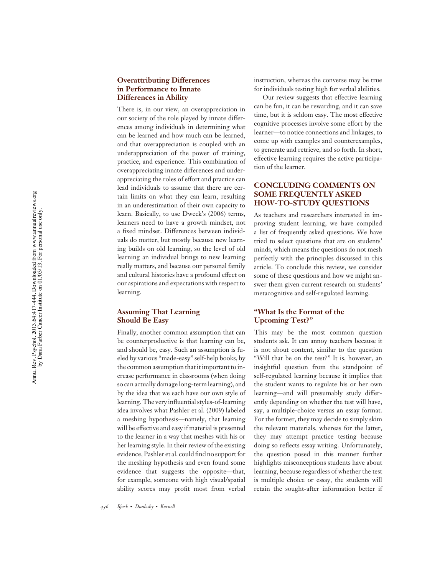# **Overattributing Differences in Performance to Innate Differences in Ability**

There is, in our view, an overappreciation in our society of the role played by innate differences among individuals in determining what can be learned and how much can be learned, and that overappreciation is coupled with an underappreciation of the power of training, practice, and experience. This combination of overappreciating innate differences and underappreciating the roles of effort and practice can lead individuals to assume that there are certain limits on what they can learn, resulting in an underestimation of their own capacity to learn. Basically, to use Dweck's (2006) terms, learners need to have a growth mindset, not a fixed mindset. Differences between individuals do matter, but mostly because new learning builds on old learning, so the level of old learning an individual brings to new learning really matters, and because our personal family and cultural histories have a profound effect on our aspirations and expectations with respect to learning.

# **Assuming That Learning Should Be Easy**

Finally, another common assumption that can be counterproductive is that learning can be, and should be, easy. Such an assumption is fueled by various "made-easy" self-help books, by the common assumption that it important to increase performance in classrooms (when doing so can actually damage long-term learning), and by the idea that we each have our own style of learning. The very influential styles-of-learning idea involves what Pashler et al. (2009) labeled a meshing hypothesis—namely, that learning will be effective and easy if material is presented to the learner in a way that meshes with his or her learning style. In their review of the existing evidence, Pashler et al. could find no support for the meshing hypothesis and even found some evidence that suggests the opposite—that, for example, someone with high visual/spatial ability scores may profit most from verbal

*436 Bjork* · *Dunlosky* · *Kornell*

instruction, whereas the converse may be true for individuals testing high for verbal abilities.

Our review suggests that effective learning can be fun, it can be rewarding, and it can save time, but it is seldom easy. The most effective cognitive processes involve some effort by the learner—to notice connections and linkages, to come up with examples and counterexamples, to generate and retrieve, and so forth. In short, effective learning requires the active participation of the learner.

# **CONCLUDING COMMENTS ON SOME FREQUENTLY ASKED HOW-TO-STUDY QUESTIONS**

As teachers and researchers interested in improving student learning, we have compiled a list of frequently asked questions. We have tried to select questions that are on students' minds, which means the questions do not mesh perfectly with the principles discussed in this article. To conclude this review, we consider some of these questions and how we might answer them given current research on students' metacognitive and self-regulated learning.

# **"What Is the Format of the Upcoming Test?"**

This may be the most common question students ask. It can annoy teachers because it is not about content, similar to the question "Will that be on the test?" It is, however, an insightful question from the standpoint of self-regulated learning because it implies that the student wants to regulate his or her own learning—and will presumably study differently depending on whether the test will have, say, a multiple-choice versus an essay format. For the former, they may decide to simply skim the relevant materials, whereas for the latter, they may attempt practice testing because doing so reflects essay writing. Unfortunately, the question posed in this manner further highlights misconceptions students have about learning, because regardless of whether the test is multiple choice or essay, the students will retain the sought-after information better if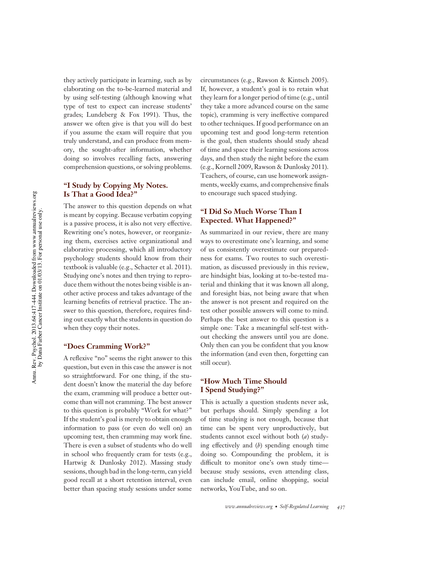they actively participate in learning, such as by elaborating on the to-be-learned material and by using self-testing (although knowing what type of test to expect can increase students' grades; Lundeberg & Fox 1991). Thus, the answer we often give is that you will do best if you assume the exam will require that you truly understand, and can produce from memory, the sought-after information, whether doing so involves recalling facts, answering comprehension questions, or solving problems.

# **"I Study by Copying My Notes. Is That a Good Idea?"**

The answer to this question depends on what is meant by copying. Because verbatim copying is a passive process, it is also not very effective. Rewriting one's notes, however, or reorganizing them, exercises active organizational and elaborative processing, which all introductory psychology students should know from their textbook is valuable (e.g., Schacter et al. 2011). Studying one's notes and then trying to reproduce them without the notes being visible is another active process and takes advantage of the learning benefits of retrieval practice. The answer to this question, therefore, requires finding out exactly what the students in question do when they copy their notes.

## **"Does Cramming Work?"**

A reflexive "no" seems the right answer to this question, but even in this case the answer is not so straightforward. For one thing, if the student doesn't know the material the day before the exam, cramming will produce a better outcome than will not cramming. The best answer to this question is probably "Work for what?" If the student's goal is merely to obtain enough information to pass (or even do well on) an upcoming test, then cramming may work fine. There is even a subset of students who do well in school who frequently cram for tests (e.g., Hartwig & Dunlosky 2012). Massing study sessions, though bad in the long-term, can yield good recall at a short retention interval, even better than spacing study sessions under some

circumstances (e.g., Rawson & Kintsch 2005). If, however, a student's goal is to retain what they learn for a longer period of time (e.g., until they take a more advanced course on the same topic), cramming is very ineffective compared to other techniques. If good performance on an upcoming test and good long-term retention is the goal, then students should study ahead of time and space their learning sessions across days, and then study the night before the exam (e.g., Kornell 2009, Rawson & Dunlosky 2011). Teachers, of course, can use homework assignments, weekly exams, and comprehensive finals to encourage such spaced studying.

# **"I Did So Much Worse Than I Expected. What Happened?"**

As summarized in our review, there are many ways to overestimate one's learning, and some of us consistently overestimate our preparedness for exams. Two routes to such overestimation, as discussed previously in this review, are hindsight bias, looking at to-be-tested material and thinking that it was known all along, and foresight bias, not being aware that when the answer is not present and required on the test other possible answers will come to mind. Perhaps the best answer to this question is a simple one: Take a meaningful self-test without checking the answers until you are done. Only then can you be confident that you know the information (and even then, forgetting can still occur).

## **"How Much Time Should I Spend Studying?"**

This is actually a question students never ask, but perhaps should. Simply spending a lot of time studying is not enough, because that time can be spent very unproductively, but students cannot excel without both (*a*) studying effectively and (*b*) spending enough time doing so. Compounding the problem, it is difficult to monitor one's own study time because study sessions, even attending class, can include email, online shopping, social networks, YouTube, and so on.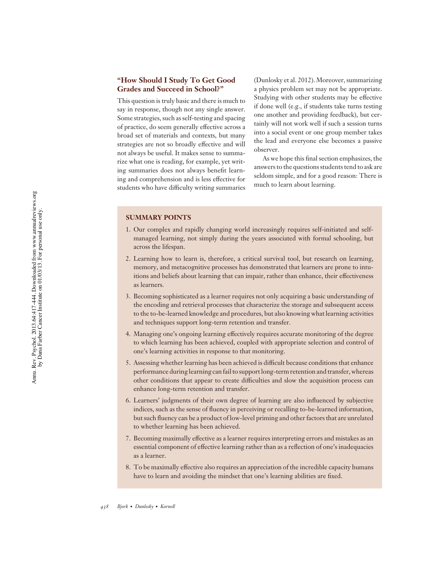## **"How Should I Study To Get Good Grades and Succeed in School?"**

This question is truly basic and there is much to say in response, though not any single answer. Some strategies, such as self-testing and spacing of practice, do seem generally effective across a broad set of materials and contexts, but many strategies are not so broadly effective and will not always be useful. It makes sense to summarize what one is reading, for example, yet writing summaries does not always benefit learning and comprehension and is less effective for students who have difficulty writing summaries

(Dunlosky et al. 2012). Moreover, summarizing a physics problem set may not be appropriate. Studying with other students may be effective if done well (e.g., if students take turns testing one another and providing feedback), but certainly will not work well if such a session turns into a social event or one group member takes the lead and everyone else becomes a passive observer.

As we hope this final section emphasizes, the answers to the questions students tend to ask are seldom simple, and for a good reason: There is much to learn about learning.

#### **SUMMARY POINTS**

- 1. Our complex and rapidly changing world increasingly requires self-initiated and selfmanaged learning, not simply during the years associated with formal schooling, but across the lifespan.
- 2. Learning how to learn is, therefore, a critical survival tool, but research on learning, memory, and metacognitive processes has demonstrated that learners are prone to intuitions and beliefs about learning that can impair, rather than enhance, their effectiveness as learners.
- 3. Becoming sophisticated as a learner requires not only acquiring a basic understanding of the encoding and retrieval processes that characterize the storage and subsequent access to the to-be-learned knowledge and procedures, but also knowing what learning activities and techniques support long-term retention and transfer.
- 4. Managing one's ongoing learning effectively requires accurate monitoring of the degree to which learning has been achieved, coupled with appropriate selection and control of one's learning activities in response to that monitoring.
- 5. Assessing whether learning has been achieved is difficult because conditions that enhance performance during learning can fail to support long-term retention and transfer, whereas other conditions that appear to create difficulties and slow the acquisition process can enhance long-term retention and transfer.
- 6. Learners' judgments of their own degree of learning are also influenced by subjective indices, such as the sense of fluency in perceiving or recalling to-be-learned information, but such fluency can be a product of low-level priming and other factors that are unrelated to whether learning has been achieved.
- 7. Becoming maximally effective as a learner requires interpreting errors and mistakes as an essential component of effective learning rather than as a reflection of one's inadequacies as a learner.
- 8. To be maximally effective also requires an appreciation of the incredible capacity humans have to learn and avoiding the mindset that one's learning abilities are fixed.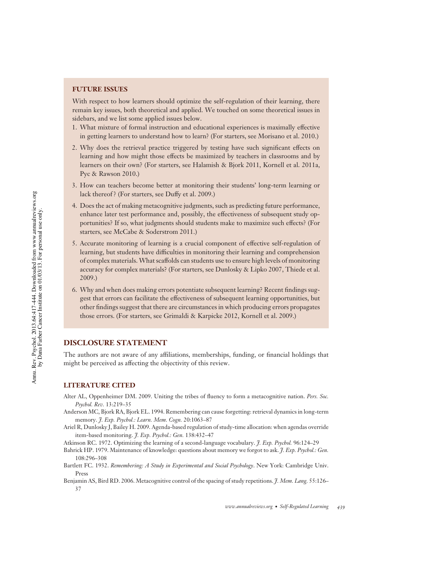## **FUTURE ISSUES**

With respect to how learners should optimize the self-regulation of their learning, there remain key issues, both theoretical and applied. We touched on some theoretical issues in sidebars, and we list some applied issues below.

- 1. What mixture of formal instruction and educational experiences is maximally effective in getting learners to understand how to learn? (For starters, see Morisano et al. 2010.)
- 2. Why does the retrieval practice triggered by testing have such significant effects on learning and how might those effects be maximized by teachers in classrooms and by learners on their own? (For starters, see Halamish & Bjork 2011, Kornell et al. 2011a, Pyc & Rawson 2010.)
- 3. How can teachers become better at monitoring their students' long-term learning or lack thereof? (For starters, see Duffy et al. 2009.)
- 4. Does the act of making metacognitive judgments, such as predicting future performance, enhance later test performance and, possibly, the effectiveness of subsequent study opportunities? If so, what judgments should students make to maximize such effects? (For starters, see McCabe & Soderstrom 2011.)
- 5. Accurate monitoring of learning is a crucial component of effective self-regulation of learning, but students have difficulties in monitoring their learning and comprehension of complex materials. What scaffolds can students use to ensure high levels of monitoring accuracy for complex materials? (For starters, see Dunlosky & Lipko 2007, Thiede et al. 2009.)
- 6. Why and when does making errors potentiate subsequent learning? Recent findings suggest that errors can facilitate the effectiveness of subsequent learning opportunities, but other findings suggest that there are circumstances in which producing errors propagates those errors. (For starters, see Grimaldi & Karpicke 2012, Kornell et al. 2009.)

## **DISCLOSURE STATEMENT**

The authors are not aware of any affiliations, memberships, funding, or financial holdings that might be perceived as affecting the objectivity of this review.

#### **LITERATURE CITED**

- Alter AL, Oppenheimer DM. 2009. Uniting the tribes of fluency to form a metacognitive nation. *Pers. Soc. Psychol. Rev.* 13:219–35
- Anderson MC, Bjork RA, Bjork EL. 1994. Remembering can cause forgetting: retrieval dynamics in long-term memory. *J. Exp. Psychol.: Learn. Mem. Cogn.* 20:1063–87
- Ariel R, Dunlosky J, Bailey H. 2009. Agenda-based regulation of study-time allocation: when agendas override item-based monitoring. *J. Exp. Psychol.: Gen.* 138:432–47
- Atkinson RC. 1972. Optimizing the learning of a second-language vocabulary. *J. Exp. Psychol.* 96:124–29
- Bahrick HP. 1979. Maintenance of knowledge: questions about memory we forgot to ask. *J. Exp. Psychol.: Gen.* 108:296–308
- Bartlett FC. 1932. *Remembering: A Study in Experimental and Social Psychology*. New York: Cambridge Univ. Press
- Benjamin AS, Bird RD. 2006. Metacognitive control of the spacing of study repetitions. *J. Mem. Lang.* 55:126– 37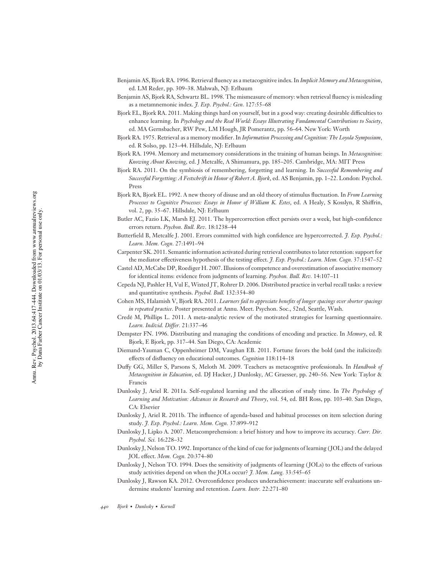- Benjamin AS, Bjork RA. 1996. Retrieval fluency as a metacognitive index. In *Implicit Memory and Metacognition*, ed. LM Reder, pp. 309–38. Mahwah, NJ: Erlbaum
- Benjamin AS, Bjork RA, Schwartz BL. 1998. The mismeasure of memory: when retrieval fluency is misleading as a metamnemonic index. *J. Exp. Psychol.: Gen.* 127:55–68
- Bjork EL, Bjork RA. 2011. Making things hard on yourself, but in a good way: creating desirable difficulties to enhance learning. In *Psychology and the Real World: Essays Illustrating Fundamental Contributions to Society*, ed. MA Gernsbacher, RW Pew, LM Hough, JR Pomerantz, pp. 56–64. New York: Worth
- Bjork RA. 1975. Retrieval as a memory modifier. In *Information Processing and Cognition: The Loyola Symposium*, ed. R Solso, pp. 123–44. Hillsdale, NJ: Erlbaum
- Bjork RA. 1994. Memory and metamemory considerations in the training of human beings. In *Metacognition: Knowing About Knowing*, ed. J Metcalfe, A Shimamura, pp. 185–205. Cambridge, MA: MIT Press
- Bjork RA. 2011. On the symbiosis of remembering, forgetting and learning. In *Successful Remembering and Successful Forgetting: A Festschrift in Honor of Robert A. Bjork*, ed. AS Benjamin, pp. 1–22. London: Psychol. Press
- Bjork RA, Bjork EL. 1992. A new theory of disuse and an old theory of stimulus fluctuation. In *From Learning Processes to Cognitive Processes: Essays in Honor of William K. Estes*, ed. A Healy, S Kosslyn, R Shiffrin, vol. 2, pp. 35–67. Hillsdale, NJ: Erlbaum
- Butler AC, Fazio LK, Marsh EJ. 2011. The hypercorrection effect persists over a week, but high-confidence errors return. *Psychon. Bull. Rev.* 18:1238–44
- Butterfield B, Metcalfe J. 2001. Errors committed with high confidence are hypercorrected. *J. Exp. Psychol.: Learn. Mem. Cogn.* 27:1491–94
- Carpenter SK. 2011. Semantic information activated during retrieval contributes to later retention: support for the mediator effectiveness hypothesis of the testing effect. *J. Exp. Psychol.: Learn. Mem. Cogn.* 37:1547–52
- Castel AD, McCabe DP, Roediger H. 2007. Illusions of competence and overestimation of associative memory for identical items: evidence from judgments of learning. *Psychon. Bull. Rev.* 14:107–11
- Cepeda NJ, Pashler H, Vul E, Wixted JT, Rohrer D. 2006. Distributed practice in verbal recall tasks: a review and quantitative synthesis. *Psychol. Bull.* 132:354–80
- Cohen MS, Halamish V, Bjork RA. 2011. *Learners fail to appreciate benefits of longer spacings over shorter spacings in repeated practice*. Poster presented at Annu. Meet. Psychon. Soc., 52nd, Seattle, Wash.
- Crede M, Phillips L. 2011. A meta-analytic review of the motivated strategies for learning questionnaire. ´ *Learn. Individ. Differ.* 21:337–46
- Dempster FN. 1996. Distributing and managing the conditions of encoding and practice. In *Memory*, ed. R Bjork, E Bjork, pp. 317–44. San Diego, CA: Academic
- Diemand-Yauman C, Oppenheimer DM, Vaughan EB. 2011. Fortune favors the bold (and the italicized): effects of disfluency on educational outcomes. *Cognition* 118:114–18
- Duffy GG, Miller S, Parsons S, Meloth M. 2009. Teachers as metacogntive professionals. In *Handbook of Metacognition in Education*, ed. DJ Hacker, J Dunlosky, AC Graesser, pp. 240–56. New York: Taylor & Francis
- Dunlosky J, Ariel R. 2011a. Self-regulated learning and the allocation of study time. In *The Psychology of Learning and Motivation: Advances in Research and Theory*, vol. 54, ed. BH Ross, pp. 103–40. San Diego, CA: Elsevier
- Dunlosky J, Ariel R. 2011b. The influence of agenda-based and habitual processes on item selection during study. *J. Exp. Psychol.: Learn. Mem. Cogn.* 37:899–912
- Dunlosky J, Lipko A. 2007. Metacomprehension: a brief history and how to improve its accuracy. *Curr. Dir. Psychol. Sci.* 16:228–32
- Dunlosky J, Nelson TO. 1992. Importance of the kind of cue for judgments of learning ( JOL) and the delayed JOL effect. *Mem. Cogn.* 20:374–80
- Dunlosky J, Nelson TO. 1994. Does the sensitivity of judgments of learning ( JOLs) to the effects of various study activities depend on when the JOLs occur? *J. Mem. Lang.* 33:545–65
- Dunlosky J, Rawson KA. 2012. Overconfidence produces underachievement: inaccurate self evaluations undermine students' learning and retention. *Learn. Instr.* 22:271–80

*440 Bjork* · *Dunlosky* · *Kornell*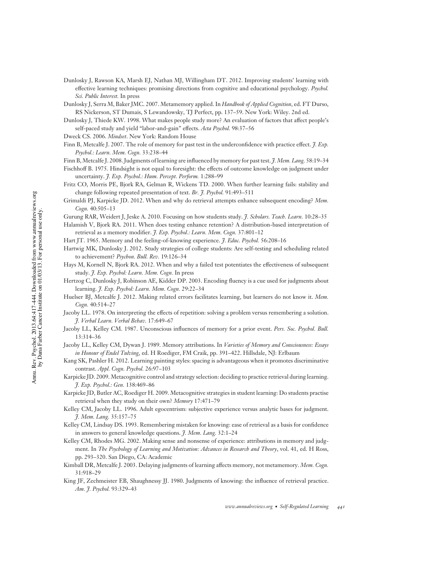Annu. Rev. Psychol. 2013.64:417-444. Downloaded from www.annualreviews.org<br>by Dana Farber Cancer Institute on 01/03/13. For personal use only. Annu. Rev. Psychol. 2013.64:417-444. Downloaded from www.annualreviews.org by Dana Farber Cancer Institute on 01/03/13. For personal use only.

- Dunlosky J, Rawson KA, Marsh EJ, Nathan MJ, Willingham DT. 2012. Improving students' learning with effective learning techniques: promising directions from cognitive and educational psychology. *Psychol. Sci. Public Interest.* In press
- Dunlosky J, Serra M, Baker JMC. 2007. Metamemory applied. In *Handbook of Applied Cognition*, ed. FT Durso, RS Nickerson, ST Dumais, S Lewandowsky, TJ Perfect, pp. 137–59. New York: Wiley. 2nd ed.
- Dunlosky J, Thiede KW. 1998. What makes people study more? An evaluation of factors that affect people's self-paced study and yield "labor-and-gain" effects. *Acta Psychol.* 98:37–56
- Dweck CS. 2006. *Mindset*. New York: Random House
- Finn B, Metcalfe J. 2007. The role of memory for past test in the underconfidence with practice effect. *J. Exp. Psychol.: Learn. Mem. Cogn.* 33:238–44
- Finn B, Metcalfe J. 2008. Judgments of learning are influenced by memory for past test. *J. Mem. Lang.* 58:19–34
- Fischhoff B. 1975. Hindsight is not equal to foresight: the effects of outcome knowledge on judgment under uncertainty. *J. Exp. Psychol.: Hum. Percept. Perform.* 1:288–99
- Fritz CO, Morris PE, Bjork RA, Gelman R, Wickens TD. 2000. When further learning fails: stability and change following repeated presentation of text. *Br. J. Psychol.* 91:493–511
- Grimaldi PJ, Karpicke JD. 2012. When and why do retrieval attempts enhance subsequent encoding? *Mem. Cogn.* 40:505–13
- Gurung RAR, Weidert J, Jeske A. 2010. Focusing on how students study. *J. Scholars. Teach. Learn.* 10:28–35
- Halamish V, Bjork RA. 2011. When does testing enhance retention? A distribution-based interpretation of retrieval as a memory modifier. *J. Exp. Psychol.: Learn. Mem. Cogn.* 37:801–12
- Hart JT. 1965. Memory and the feeling-of-knowing experience. *J. Educ. Psychol.* 56:208–16
- Hartwig MK, Dunlosky J. 2012. Study strategies of college students: Are self-testing and scheduling related to achievement? *Psychon. Bull. Rev.* 19:126–34
- Hays M, Kornell N, Bjork RA. 2012. When and why a failed test potentiates the effectiveness of subsequent study. *J. Exp. Psychol: Learn. Mem. Cogn.* In press
- Hertzog C, Dunlosky J, Robinson AE, Kidder DP. 2003. Encoding fluency is a cue used for judgments about learning. *J. Exp. Psychol: Learn. Mem. Cogn.* 29:22–34
- Huelser BJ, Metcalfe J. 2012. Making related errors facilitates learning, but learners do not know it. *Mem. Cogn.* 40:514–27
- Jacoby LL. 1978. On interpreting the effects of repetition: solving a problem versus remembering a solution. *J. Verbal Learn. Verbal Behav.* 17:649–67
- Jacoby LL, Kelley CM. 1987. Unconscious influences of memory for a prior event. *Pers. Soc. Psychol. Bull.* 13:314–36
- Jacoby LL, Kelley CM, Dywan J. 1989. Memory attributions. In *Varieties of Memory and Consciousness: Essays in Honour of Endel Tulving*, ed. H Roediger, FM Craik, pp. 391–422. Hillsdale, NJ: Erlbaum
- Kang SK, Pashler H. 2012. Learning painting styles: spacing is advantageous when it promotes discriminative contrast. *Appl. Cogn. Psychol.* 26:97–103
- Karpicke JD. 2009. Metacognitive control and strategy selection: deciding to practice retrieval during learning. *J. Exp. Psychol.: Gen.* 138:469–86
- Karpicke JD, Butler AC, Roediger H. 2009. Metacognitive strategies in student learning: Do students practise retrieval when they study on their own? *Memory* 17:471–79
- Kelley CM, Jacoby LL. 1996. Adult egocentrism: subjective experience versus analytic bases for judgment. *J. Mem. Lang.* 35:157–75
- Kelley CM, Lindsay DS. 1993. Remembering mistaken for knowing: ease of retrieval as a basis for confidence in answers to general knowledge questions. *J. Mem. Lang.* 32:1–24
- Kelley CM, Rhodes MG. 2002. Making sense and nonsense of experience: attributions in memory and judgment. In *The Psychology of Learning and Motivation: Advances in Research and Theory*, vol. 41, ed. H Ross, pp. 293–320. San Diego, CA: Academic
- Kimball DR, Metcalfe J. 2003. Delaying judgments of learning affects memory, not metamemory. *Mem. Cogn.* 31:918–29
- King JF, Zechmeister EB, Shaughnessy JJ. 1980. Judgments of knowing: the influence of retrieval practice. *Am. J. Psychol.* 93:329–43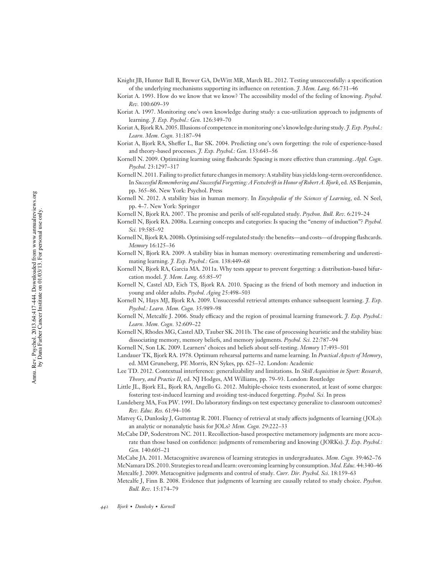- Knight JB, Hunter Ball B, Brewer GA, DeWitt MR, March RL. 2012. Testing unsuccessfully: a specification of the underlying mechanisms supporting its influence on retention. *J. Mem. Lang.* 66:731–46
- Koriat A. 1993. How do we know that we know? The accessibility model of the feeling of knowing. *Psychol. Rev.* 100:609–39
- Koriat A. 1997. Monitoring one's own knowledge during study: a cue-utilization approach to judgments of learning. *J. Exp. Psychol.: Gen.* 126:349–70
- Koriat A, Bjork RA. 2005. Illusions of competence in monitoring one's knowledge during study. *J. Exp. Psychol.: Learn. Mem. Cogn.* 31:187–94
- Koriat A, Bjork RA, Sheffer L, Bar SK. 2004. Predicting one's own forgetting: the role of experience-based and theory-based processes. *J. Exp. Psychol.: Gen.* 133:643–56
- Kornell N. 2009. Optimizing learning using flashcards: Spacing is more effective than cramming. *Appl. Cogn. Psychol.* 23:1297–317
- Kornell N. 2011. Failing to predict future changes in memory: A stability bias yields long-term overconfidence. In *Successful Remembering and Successful Forgetting: A Festschrift in Honor of Robert A. Bjork*, ed. AS Benjamin, pp. 365–86. New York: Psychol. Press
- Kornell N. 2012. A stability bias in human memory. In *Encyclopedia of the Sciences of Learning*, ed. N Seel, pp. 4–7. New York: Springer
- Kornell N, Bjork RA. 2007. The promise and perils of self-regulated study. *Psychon. Bull. Rev.* 6:219–24
- Kornell N, Bjork RA. 2008a. Learning concepts and categories: Is spacing the "enemy of induction"? *Psychol. Sci.* 19:585–92
- Kornell N, Bjork RA. 2008b. Optimising self-regulated study: the benefits—and costs—of dropping flashcards. *Memory* 16:125–36
- Kornell N, Bjork RA. 2009. A stability bias in human memory: overestimating remembering and underestimating learning. *J. Exp. Psychol.: Gen.* 138:449–68
- Kornell N, Bjork RA, Garcia MA. 2011a. Why tests appear to prevent forgetting: a distribution-based bifurcation model. *J. Mem. Lang.* 65:85–97
- Kornell N, Castel AD, Eich TS, Bjork RA. 2010. Spacing as the friend of both memory and induction in young and older adults. *Psychol. Aging* 25:498–503
- Kornell N, Hays MJ, Bjork RA. 2009. Unsuccessful retrieval attempts enhance subsequent learning. *J. Exp. Psychol.: Learn. Mem. Cogn.* 35:989–98
- Kornell N, Metcalfe J. 2006. Study efficacy and the region of proximal learning framework. *J. Exp. Psychol.: Learn. Mem. Cogn.* 32:609–22
- Kornell N, Rhodes MG, Castel AD, Tauber SK. 2011b. The ease of processing heuristic and the stability bias: dissociating memory, memory beliefs, and memory judgments. *Psychol. Sci.* 22:787–94

Kornell N, Son LK. 2009. Learners' choices and beliefs about self-testing. *Memory* 17:493–501

- Landauer TK, Bjork RA. 1978. Optimum rehearsal patterns and name learning. In *Practical Aspects of Memory*, ed. MM Gruneberg, PE Morris, RN Sykes, pp. 625–32. London: Academic
- Lee TD. 2012. Contextual interference: generalizability and limitations. In *Skill Acquisition in Sport: Research, Theory, and Practice II*, ed. NJ Hodges, AM Williams, pp. 79–93. London: Routledge
- Little JL, Bjork EL, Bjork RA, Angello G. 2012. Multiple-choice tests exonerated, at least of some charges: fostering test-induced learning and avoiding test-induced forgetting. *Psychol. Sci.* In press
- Lundeberg MA, Fox PW. 1991. Do laboratory findings on test expectancy generalize to classroom outcomes? *Rev. Educ. Res.* 61:94–106
- Matvey G, Dunlosky J, Guttentag R. 2001. Fluency of retrieval at study affects judgments of learning ( JOLs): an analytic or nonanalytic basis for JOLs? *Mem. Cogn.* 29:222–33
- McCabe DP, Soderstrom NC. 2011. Recollection-based prospective metamemory judgments are more accurate than those based on confidence: judgments of remembering and knowing ( JORKs). *J. Exp. Psychol.: Gen.* 140:605–21
- McCabe JA. 2011. Metacognitive awareness of learning strategies in undergraduates. *Mem. Cogn.* 39:462–76 McNamara DS. 2010. Strategies to read and learn: overcoming learning by consumption. *Med. Educ.* 44:340–46 Metcalfe J. 2009. Metacognitive judgments and control of study. *Curr. Dir. Psychol. Sci.* 18:159–63
- Metcalfe J, Finn B. 2008. Evidence that judgments of learning are causally related to study choice. *Psychon. Bull. Rev.* 15:174–79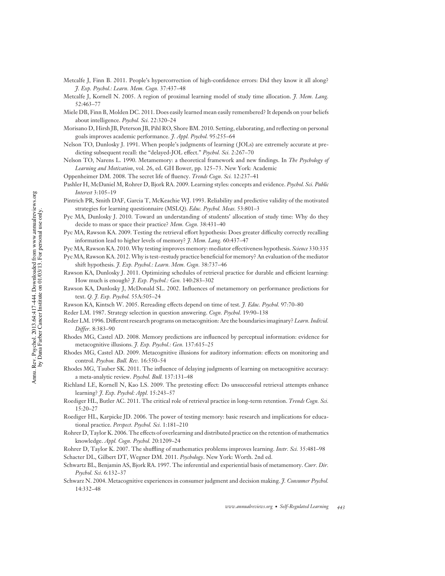goals improves academic performance. *J. Appl. Psychol.* 95:255–64 Nelson TO, Dunlosky J. 1991. When people's judgments of learning (JOLs) are extremely accurate at predicting subsequent recall: the "delayed-JOL effect." *Psychol. Sci.* 2:267–70 Nelson TO, Narens L. 1990. Metamemory: a theoretical framework and new findings. In *The Psychology of Learning and Motivation*, vol. 26, ed. GH Bower, pp. 125–73. New York: Academic Oppenheimer DM. 2008. The secret life of fluency. *Trends Cogn. Sci.* 12:237–41 Pashler H, McDaniel M, Rohrer D, Bjork RA. 2009. Learning styles: concepts and evidence. *Psychol. Sci. Public Interest* 3:105–19 Pintrich PR, Smith DAF, Garcia T, McKeachie WJ. 1993. Reliability and predictive validity of the motivated strategies for learning questionnaire (MSLQ). *Educ. Psychol. Meas.* 53:801–3 Pyc MA, Dunlosky J. 2010. Toward an understanding of students' allocation of study time: Why do they decide to mass or space their practice? *Mem. Cogn.* 38:431–40

52:463–77

Pyc MA, Rawson KA. 2009. Testing the retrieval effort hypothesis: Does greater difficulty correctly recalling information lead to higher levels of memory? *J. Mem. Lang.* 60:437–47

Metcalfe J, Finn B. 2011. People's hypercorrection of high-confidence errors: Did they know it all along?

Metcalfe J, Kornell N. 2005. A region of proximal learning model of study time allocation. *J. Mem. Lang.*

Miele DB, Finn B, Molden DC. 2011. Does easily learned mean easily remembered? It depends on your beliefs

Morisano D, Hirsh JB, Peterson JB, Pihl RO, Shore BM. 2010. Setting, elaborating, and reflecting on personal

*J. Exp. Psychol.: Learn. Mem. Cogn.* 37:437–48

about intelligence. *Psychol. Sci.* 22:320–24

- Pyc MA, Rawson KA. 2010. Why testing improves memory: mediator effectiveness hypothesis. *Science* 330:335
- Pyc MA, Rawson KA. 2012.Why is test–restudy practice beneficial for memory? An evaluation of the mediator shift hypothesis. *J. Exp. Psychol.: Learn. Mem. Cogn.* 38:737–46
- Rawson KA, Dunlosky J. 2011. Optimizing schedules of retrieval practice for durable and efficient learning: How much is enough? *J. Exp. Psychol.: Gen.* 140:283–302
- Rawson KA, Dunlosky J, McDonald SL. 2002. Influences of metamemory on performance predictions for text. *Q. J. Exp. Psychol.* 55A:505–24
- Rawson KA, Kintsch W. 2005. Rereading effects depend on time of test. *J. Educ. Psychol.* 97:70–80
- Reder LM. 1987. Strategy selection in question answering. *Cogn. Psychol.* 19:90–138
- Reder LM. 1996. Different research programs on metacognition: Are the boundaries imaginary? *Learn. Individ. Differ.* 8:383–90
- Rhodes MG, Castel AD. 2008. Memory predictions are influenced by perceptual information: evidence for metacognitive illusions. *J. Exp. Psychol.: Gen.* 137:615–25
- Rhodes MG, Castel AD. 2009. Metacognitive illusions for auditory information: effects on monitoring and control. *Psychon. Bull. Rev.* 16:550–54
- Rhodes MG, Tauber SK. 2011. The influence of delaying judgments of learning on metacognitive accuracy: a meta-analytic review. *Psychol. Bull.* 137:131–48
- Richland LE, Kornell N, Kao LS. 2009. The pretesting effect: Do unsuccessful retrieval attempts enhance learning? *J. Exp. Psychol: Appl.* 15:243–57
- Roediger HL, Butler AC. 2011. The critical role of retrieval practice in long-term retention. *Trends Cogn. Sci.* 15:20–27
- Roediger HL, Karpicke JD. 2006. The power of testing memory: basic research and implications for educational practice. *Perspect. Psychol. Sci.* 1:181–210
- Rohrer D, Taylor K. 2006. The effects of overlearning and distributed practice on the retention of mathematics knowledge. *Appl. Cogn. Psychol.* 20:1209–24
- Rohrer D, Taylor K. 2007. The shuffling of mathematics problems improves learning. *Instr. Sci.* 35:481–98 Schacter DL, Gilbert DT, Wegner DM. 2011. *Psychology*. New York: Worth. 2nd ed.
- Schwartz BL, Benjamin AS, Bjork RA. 1997. The inferential and experiential basis of metamemory. *Curr. Dir. Psychol. Sci.* 6:132–37
- Schwarz N. 2004. Metacognitive experiences in consumer judgment and decision making. *J. Consumer Psychol.* 14:332–48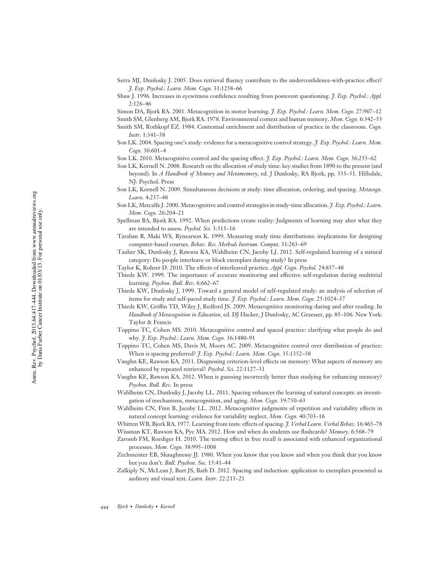- Serra MJ, Dunlosky J. 2005. Does retrieval fluency contribute to the underconfidence-with-practice effect? *J. Exp. Psychol.: Learn. Mem. Cogn.* 31:1258–66
- Shaw J. 1996. Increases in eyewitness confidence resulting from postevent questioning. *J. Exp. Psychol.: Appl.* 2:126–46

Simon DA, Bjork RA. 2001. Metacognition in motor learning. *J. Exp. Psychol.: Learn. Mem. Cogn.* 27:907–12

Smith SM, Glenberg AM, Bjork RA. 1978. Environmental context and human memory. *Mem. Cogn.* 6:342–53 Smith SM, Rothkopf EZ. 1984. Contextual enrichment and distribution of practice in the classroom. *Cogn.*

*Instr.* 1:341–58

- Son LK. 2004. Spacing one's study: evidence for a metacognitive control strategy. *J. Exp. Psychol.: Learn. Mem. Cogn.* 30:601–4
- Son LK. 2010. Metacognitive control and the spacing effect. *J. Exp. Psychol.: Learn. Mem. Cogn.* 36:255–62
- Son LK, Kornell N. 2008. Research on the allocation of study time: key studies from 1890 to the present (and beyond). In *A Handbook of Memory and Metamemory*, ed. J Dunlosky, RA Bjork, pp. 333–51. Hillsdale, NJ: Psychol. Press
- Son LK, Kornell N. 2009. Simultaneous decisions at study: time allocation, ordering, and spacing. *Metacogn. Learn.* 4:237–48
- Son LK, Metcalfe J. 2000. Metacognitive and control strategies in study-time allocation. *J. Exp. Psychol.: Learn. Mem. Cogn.* 26:204–21
- Spellman BA, Bjork RA. 1992. When predictions create reality: Judgments of learning may alter what they are intended to assess. *Psychol. Sci.* 3:315–16
- Taraban R, Maki WS, Rynearson K. 1999. Measuring study time distributions: implications for designing computer-based courses. *Behav. Res. Methods Instrum. Comput.* 31:263–69
- Tauber SK, Dunlosky J, Rawson KA, Wahlheim CN, Jacoby LJ. 2012. Self-regulated learning of a natural category: Do people interleave or block exemplars during study? In press
- Taylor K, Rohrer D. 2010. The effects of interleaved practice. *Appl. Cogn. Psychol.* 24:837–48
- Thiede KW. 1999. The importance of accurate monitoring and effective self-regulation during multitrial learning. *Psychon. Bull. Rev.* 6:662–67
- Thiede KW, Dunlosky J. 1999. Toward a general model of self-regulated study: an analysis of selection of items for study and self-paced study time. *J. Exp. Psychol.: Learn. Mem. Cogn.* 25:1024–37
- Thiede KW, Griffin TD, Wiley J, Redford JS. 2009. Metacognitive monitoring during and after reading. In *Handbook of Metacognition in Education*, ed. DJ Hacker, J Dunlosky, AC Graesser, pp. 85–106. New York: Taylor & Francis
- Toppino TC, Cohen MS. 2010. Metacognitive control and spaced practice: clarifying what people do and why. *J. Exp. Psychol.: Learn. Mem. Cogn.* 36:1480–91
- Toppino TC, Cohen MS, Davis M, Moors AC. 2009. Metacognitive control over distribution of practice: When is spacing preferred? *J. Exp. Psychol.: Learn. Mem. Cogn.* 35:1352–58
- Vaughn KE, Rawson KA. 2011. Diagnosing criterion-level effects on memory: What aspects of memory are enhanced by repeated retrieval? *Psychol. Sci.* 22:1127–31
- Vaughn KE, Rawson KA. 2012. When is guessing incorrectly better than studying for enhancing memory? *Psychon. Bull. Rev.* In press
- Wahlheim CN, Dunlosky J, Jacoby LL. 2011. Spacing enhances the learning of natural concepts: an investigation of mechanisms, metacognition, and aging. *Mem. Cogn.* 39:750–63
- Wahlheim CN, Finn B, Jacoby LL. 2012. Metacognitive judgments of repetition and variability effects in natural concept learning: evidence for variability neglect. *Mem. Cogn.* 40:703–16

Whitten WB, Bjork RA. 1977. Learning from tests: effects of spacing. *J. Verbal Learn. Verbal Behav.* 16:465–78

- Wissman KT, Rawson KA, Pyc MA. 2012. How and when do students use flashcards? *Memory.* 6:568–79
- Zaromb FM, Roediger H. 2010. The testing effect in free recall is associated with enhanced organizational processes. *Mem. Cogn.* 38:995–1008
- Zechmeister EB, Shaughnessy JJ. 1980. When you know that you know and when you think that you know but you don't. *Bull. Psychon. Soc.* 15:41–44
- Zulkiply N, McLean J, Burt JS, Bath D. 2012. Spacing and induction: application to exemplars presented as auditory and visual text. *Learn. Instr.* 22:215–21